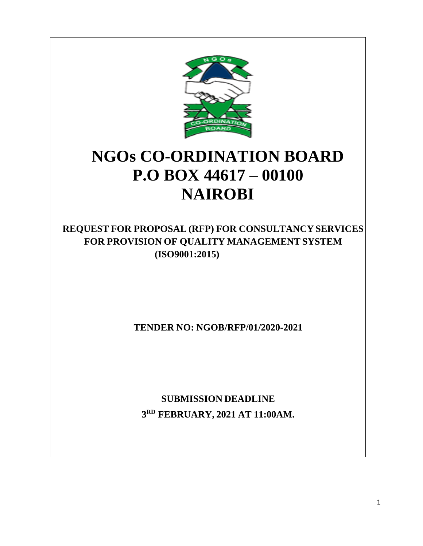

# **NGOs CO-ORDINATION BOARD P.O BOX 44617 – 00100 NAIROBI**

**REQUEST FOR PROPOSAL (RFP) FOR CONSULTANCY SERVICES FOR PROVISION OF QUALITY MANAGEMENT SYSTEM (ISO9001:2015)**

**TENDER NO: NGOB/RFP/01/2020-2021**

**SUBMISSION DEADLINE 3 RD FEBRUARY, 2021 AT 11:00AM.**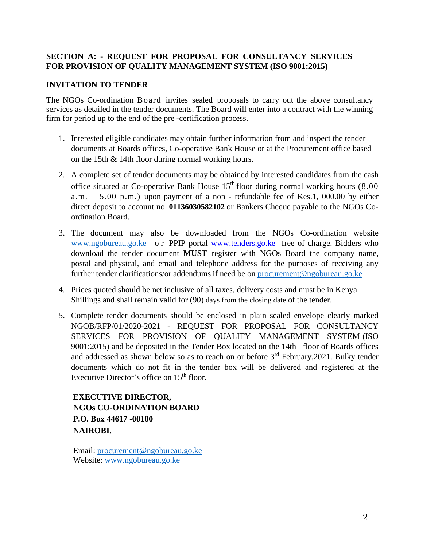### **SECTION A: - REQUEST FOR PROPOSAL FOR CONSULTANCY SERVICES FOR PROVISION OF QUALITY MANAGEMENT SYSTEM (ISO 9001:2015)**

#### **INVITATION TO TENDER**

The NGOs Co-ordination Board invites sealed proposals to carry out the above consultancy services as detailed in the tender documents. The Board will enter into a contract with the winning firm for period up to the end of the pre -certification process.

- 1. Interested eligible candidates may obtain further information from and inspect the tender documents at Boards offices, Co-operative Bank House or at the Procurement office based on the 15th & 14th floor during normal working hours.
- 2. A complete set of tender documents may be obtained by interested candidates from the cash office situated at Co-operative Bank House  $15<sup>th</sup>$  floor during normal working hours (8.00) a.m.  $-5.00$  p.m.) upon payment of a non - refundable fee of Kes.1, 000.00 by either direct deposit to account no. **01136030582102** or Bankers Cheque payable to the NGOs Coordination Board.
- 3. The document may also be downloaded from the NGOs Co-ordination website [www.ngobureau.go.ke](http://www.ngobureau.go.ke/) o r PPIP portal [www.tenders.go.ke](http://www.tenders.go.ke/) free of charge. Bidders who download the tender document **MUST** register with NGOs Board the company name, postal and physical, and email and telephone address for the purposes of receiving any further tender clarifications/or addendums if need be on [procurement@ngobureau.go.ke](mailto:procurement@ngobureau.go.ke)
- 4. Prices quoted should be net inclusive of all taxes, delivery costs and must be in Kenya Shillings and shall remain valid for (90) days from the closing date of the tender.
- 5. Complete tender documents should be enclosed in plain sealed envelope clearly marked NGOB/RFP/01/2020-2021 - REQUEST FOR PROPOSAL FOR CONSULTANCY SERVICES FOR PROVISION OF QUALITY MANAGEMENT SYSTEM (ISO 9001:2015) and be deposited in the Tender Box located on the 14th floor of Boards offices and addressed as shown below so as to reach on or before  $3<sup>rd</sup>$  February, 2021. Bulky tender documents which do not fit in the tender box will be delivered and registered at the Executive Director's office on 15<sup>th</sup> floor.

**EXECUTIVE DIRECTOR, NGOs CO-ORDINATION BOARD P.O. Box 44617 -00100 NAIROBI.**

Email: [procurement@ngobureau.go.ke](mailto:procurement@ngobureau.go.ke) Website: [www.ngobureau.go.ke](http://www.ngobureau.go.ke/)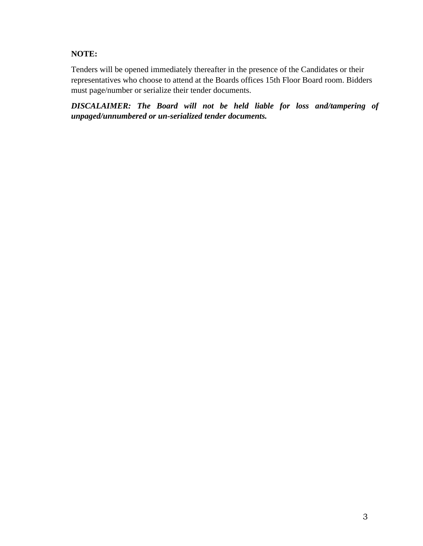### **NOTE:**

Tenders will be opened immediately thereafter in the presence of the Candidates or their representatives who choose to attend at the Boards offices 15th Floor Board room. Bidders must page/number or serialize their tender documents.

*DISCALAIMER: The Board will not be held liable for loss and/tampering of unpaged/unnumbered or un-serialized tender documents.*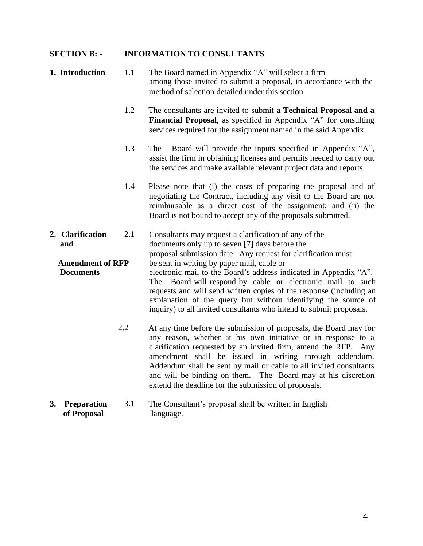#### **SECTION B: - INFORMATION TO CONSULTANTS**

- **1. Introduction** 1.1 The Board named in Appendix "A" will select a firm among those invited to submit a proposal, in accordance with the method of selection detailed under this section.
	- 1.2 The consultants are invited to submit **a Technical Proposal and a Financial Proposal**, as specified in Appendix "A" for consulting services required for the assignment named in the said Appendix.
	- 1.3 The Board will provide the inputs specified in Appendix "A", assist the firm in obtaining licenses and permits needed to carry out the services and make available relevant project data and reports.
	- 1.4 Please note that (i) the costs of preparing the proposal and of negotiating the Contract, including any visit to the Board are not reimbursable as a direct cost of the assignment; and (ii) the Board is not bound to accept any of the proposals submitted.
- **2. Clarification and** 2.1 Consultants may request a clarification of any of the documents only up to seven [7] days before the proposal submission date. Any request for clarification must **Amendment of RFP** be sent in writing by paper mail, cable or
- **Documents** electronic mail to the Board's address indicated in Appendix "A". The Board will respond by cable or electronic mail to such requests and will send written copies of the response (including an explanation of the query but without identifying the source of inquiry) to all invited consultants who intend to submit proposals.
	- 2.2 At any time before the submission of proposals, the Board may for any reason, whether at his own initiative or in response to a clarification requested by an invited firm, amend the RFP. Any amendment shall be issued in writing through addendum. Addendum shall be sent by mail or cable to all invited consultants and will be binding on them. The Board may at his discretion extend the deadline for the submission of proposals.

#### **3. Preparation of Proposal** 3.1 The Consultant's proposal shall be written in English language.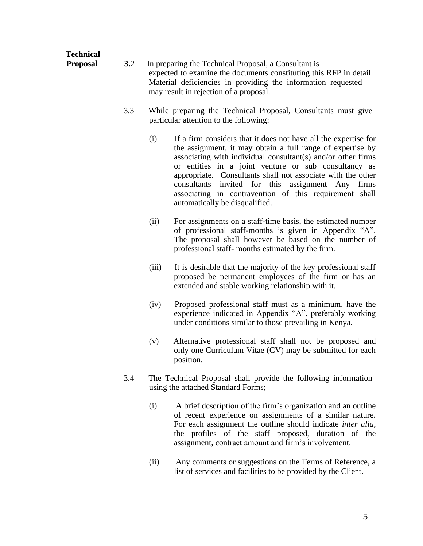### **Technical Proposal 3.2** In preparing the Technical Proposal, a Consultant is expected to examine the documents constituting this RFP in detail. Material deficiencies in providing the information requested may result in rejection of a proposal.

- 3.3 While preparing the Technical Proposal, Consultants must give particular attention to the following:
	- (i) If a firm considers that it does not have all the expertise for the assignment, it may obtain a full range of expertise by associating with individual consultant(s) and/or other firms or entities in a joint venture or sub consultancy as appropriate. Consultants shall not associate with the other consultants invited for this assignment Any firms associating in contravention of this requirement shall automatically be disqualified.
	- (ii) For assignments on a staff-time basis, the estimated number of professional staff-months is given in Appendix "A". The proposal shall however be based on the number of professional staff- months estimated by the firm.
	- (iii) It is desirable that the majority of the key professional staff proposed be permanent employees of the firm or has an extended and stable working relationship with it.
	- (iv) Proposed professional staff must as a minimum, have the experience indicated in Appendix "A", preferably working under conditions similar to those prevailing in Kenya.
	- (v) Alternative professional staff shall not be proposed and only one Curriculum Vitae (CV) may be submitted for each position.
- 3.4 The Technical Proposal shall provide the following information using the attached Standard Forms;
	- (i) A brief description of the firm's organization and an outline of recent experience on assignments of a similar nature. For each assignment the outline should indicate *inter alia,*  the profiles of the staff proposed, duration of the assignment, contract amount and firm's involvement.
	- (ii) Any comments or suggestions on the Terms of Reference, a list of services and facilities to be provided by the Client.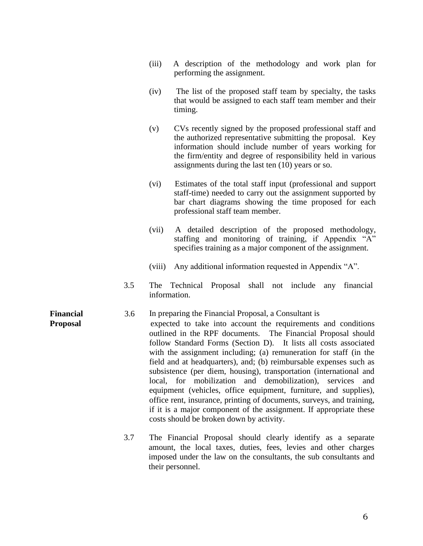- (iii) A description of the methodology and work plan for performing the assignment.
- (iv) The list of the proposed staff team by specialty, the tasks that would be assigned to each staff team member and their timing.
- (v) CVs recently signed by the proposed professional staff and the authorized representative submitting the proposal. Key information should include number of years working for the firm/entity and degree of responsibility held in various assignments during the last ten (10) years or so.
- (vi) Estimates of the total staff input (professional and support staff-time) needed to carry out the assignment supported by bar chart diagrams showing the time proposed for each professional staff team member.
- (vii) A detailed description of the proposed methodology, staffing and monitoring of training, if Appendix "A" specifies training as a major component of the assignment.
- (viii) Any additional information requested in Appendix "A".
- 3.5 The Technical Proposal shall not include any financial information.
- **Financial** 3.6 In preparing the Financial Proposal, a Consultant is **Proposal** expected to take into account the requirements and conditions outlined in the RPF documents. The Financial Proposal should follow Standard Forms (Section D). It lists all costs associated with the assignment including; (a) remuneration for staff (in the field and at headquarters), and; (b) reimbursable expenses such as subsistence (per diem, housing), transportation (international and local, for mobilization and demobilization), services and equipment (vehicles, office equipment, furniture, and supplies), office rent, insurance, printing of documents, surveys, and training, if it is a major component of the assignment. If appropriate these costs should be broken down by activity.
	- 3.7 The Financial Proposal should clearly identify as a separate amount, the local taxes, duties, fees, levies and other charges imposed under the law on the consultants, the sub consultants and their personnel.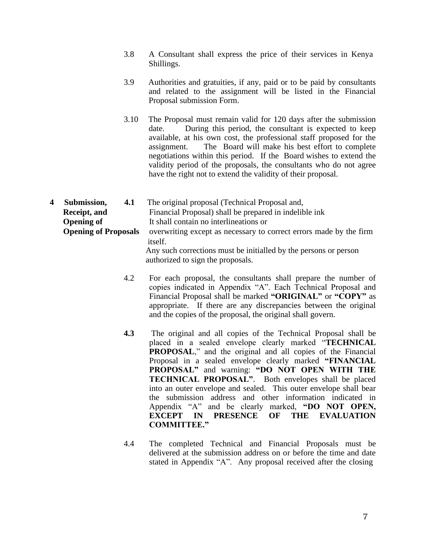- 3.8 A Consultant shall express the price of their services in Kenya Shillings.
- 3.9 Authorities and gratuities, if any, paid or to be paid by consultants and related to the assignment will be listed in the Financial Proposal submission Form.
- 3.10 The Proposal must remain valid for 120 days after the submission date. During this period, the consultant is expected to keep available, at his own cost, the professional staff proposed for the assignment. The Board will make his best effort to complete negotiations within this period. If the Board wishes to extend the validity period of the proposals, the consultants who do not agree have the right not to extend the validity of their proposal.
- **4 Submission, 4.1** The original proposal (Technical Proposal and, **Receipt, and Opening of** Financial Proposal) shall be prepared in indelible ink It shall contain no interlineations or **Opening of Proposals** overwriting except as necessary to correct errors made by the firm itself. Any such corrections must be initialled by the persons or person authorized to sign the proposals.
	- 4.2 For each proposal, the consultants shall prepare the number of copies indicated in Appendix "A". Each Technical Proposal and Financial Proposal shall be marked **"ORIGINAL"** or **"COPY"** as appropriate. If there are any discrepancies between the original and the copies of the proposal, the original shall govern.
	- **4.3** The original and all copies of the Technical Proposal shall be placed in a sealed envelope clearly marked "**TECHNICAL PROPOSAL**," and the original and all copies of the Financial Proposal in a sealed envelope clearly marked **"FINANCIAL PROPOSAL"** and warning: **"DO NOT OPEN WITH THE TECHNICAL PROPOSAL"**. Both envelopes shall be placed into an outer envelope and sealed. This outer envelope shall bear the submission address and other information indicated in Appendix "A" and be clearly marked, **"DO NOT OPEN, EXCEPT IN PRESENCE OF THE EVALUATION COMMITTEE."**
	- 4.4 The completed Technical and Financial Proposals must be delivered at the submission address on or before the time and date stated in Appendix "A". Any proposal received after the closing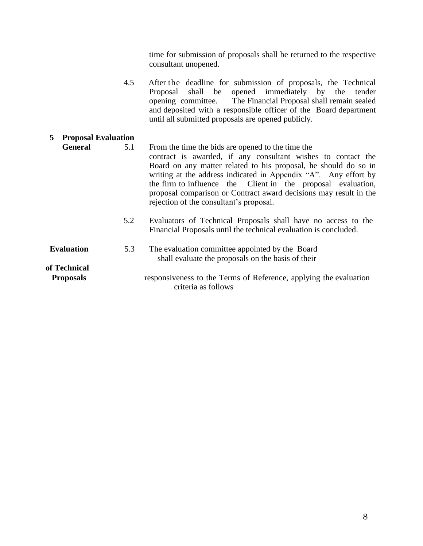time for submission of proposals shall be returned to the respective consultant unopened.

4.5 After the deadline for submission of proposals, the Technical Proposal shall be opened immediately by the tender opening committee. The Financial Proposal shall remain sealed and deposited with a responsible officer of the Board department until all submitted proposals are opened publicly.

### **5 Proposal Evaluation General** 5.1 From the time the bids are opened to the time the contract is awarded, if any consultant wishes to contact the Board on any matter related to his proposal, he should do so in writing at the address indicated in Appendix "A". Any effort by the firm to influence the Client in the proposal evaluation, proposal comparison or Contract award decisions may result in the rejection of the consultant's proposal. 5.2 Evaluators of Technical Proposals shall have no access to the Financial Proposals until the technical evaluation is concluded. **Evaluation** 5.3 The evaluation committee appointed by the Board shall evaluate the proposals on the basis of their **of Technical Proposals** responsiveness to the Terms of Reference, applying the evaluation criteria as follows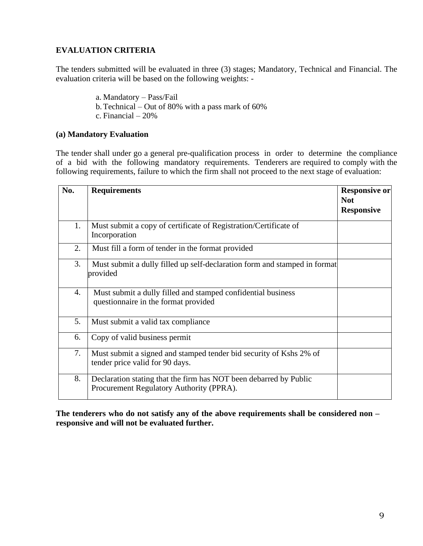### **EVALUATION CRITERIA**

The tenders submitted will be evaluated in three (3) stages; Mandatory, Technical and Financial. The evaluation criteria will be based on the following weights: -

> a. Mandatory – Pass/Fail b.Technical – Out of 80% with a pass mark of 60% c. Financial – 20%

#### **(a) Mandatory Evaluation**

The tender shall under go a general pre-qualification process in order to determine the compliance of a bid with the following mandatory requirements. Tenderers are required to comply with the following requirements, failure to which the firm shall not proceed to the next stage of evaluation:

| No. | <b>Requirements</b>                                                                                           | <b>Responsive or</b><br><b>Not</b><br><b>Responsive</b> |
|-----|---------------------------------------------------------------------------------------------------------------|---------------------------------------------------------|
| 1.  | Must submit a copy of certificate of Registration/Certificate of<br>Incorporation                             |                                                         |
| 2.  | Must fill a form of tender in the format provided                                                             |                                                         |
| 3.  | Must submit a dully filled up self-declaration form and stamped in format<br>provided                         |                                                         |
| 4.  | Must submit a dully filled and stamped confidential business<br>questionnaire in the format provided          |                                                         |
| 5.  | Must submit a valid tax compliance                                                                            |                                                         |
| 6.  | Copy of valid business permit                                                                                 |                                                         |
| 7.  | Must submit a signed and stamped tender bid security of Kshs 2% of<br>tender price valid for 90 days.         |                                                         |
| 8.  | Declaration stating that the firm has NOT been debarred by Public<br>Procurement Regulatory Authority (PPRA). |                                                         |

**The tenderers who do not satisfy any of the above requirements shall be considered non – responsive and will not be evaluated further.**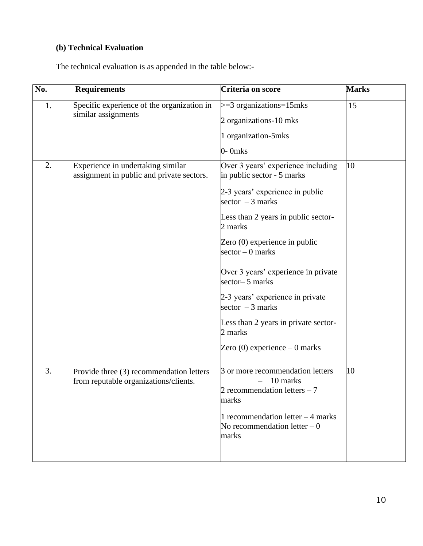## **(b) Technical Evaluation**

The technical evaluation is as appended in the table below:-

| No. | <b>Requirements</b>                                                               | Criteria on score                                                                                                                                                                                                                                                                                                                                                                                                                          | <b>Marks</b> |
|-----|-----------------------------------------------------------------------------------|--------------------------------------------------------------------------------------------------------------------------------------------------------------------------------------------------------------------------------------------------------------------------------------------------------------------------------------------------------------------------------------------------------------------------------------------|--------------|
| 1.  | Specific experience of the organization in<br>similar assignments                 | $>=$ 3 organizations=15mks<br>2 organizations-10 mks<br>1 organization-5mks<br>$0-0$ mks                                                                                                                                                                                                                                                                                                                                                   | 15           |
| 2.  | Experience in undertaking similar<br>assignment in public and private sectors.    | Over 3 years' experience including<br>in public sector - 5 marks<br>2-3 years' experience in public<br>sector $-3$ marks<br>Less than 2 years in public sector-<br>2 marks<br>Zero (0) experience in public<br>$sector - 0 marks$<br>Over 3 years' experience in private<br>sector-5 marks<br>2-3 years' experience in private<br>sector $-3$ marks<br>Less than 2 years in private sector-<br>2 marks<br>Zero $(0)$ experience $-0$ marks | 10           |
| 3.  | Provide three (3) recommendation letters<br>from reputable organizations/clients. | 3 or more recommendation letters<br>10 marks<br>2 recommendation letters $-7$<br>marks<br>1 recommendation letter $-4$ marks<br>No recommendation letter $-0$<br>marks                                                                                                                                                                                                                                                                     | 10           |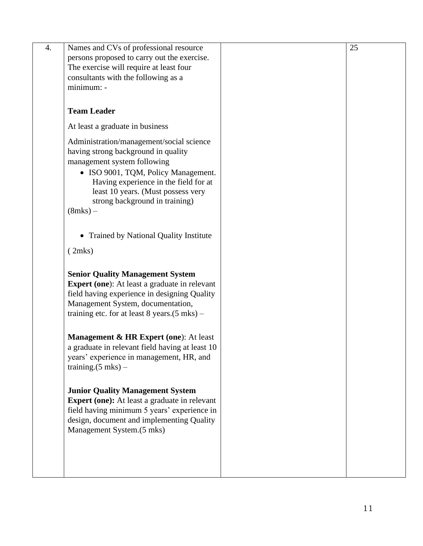| 4. | Names and CVs of professional resource<br>persons proposed to carry out the exercise.<br>The exercise will require at least four<br>consultants with the following as a<br>minimum: -                                                                                                    | 25 |
|----|------------------------------------------------------------------------------------------------------------------------------------------------------------------------------------------------------------------------------------------------------------------------------------------|----|
|    | <b>Team Leader</b>                                                                                                                                                                                                                                                                       |    |
|    | At least a graduate in business                                                                                                                                                                                                                                                          |    |
|    | Administration/management/social science<br>having strong background in quality<br>management system following<br>• ISO 9001, TQM, Policy Management.<br>Having experience in the field for at<br>least 10 years. (Must possess very<br>strong background in training)<br>$(8$ mks $)$ – |    |
|    | • Trained by National Quality Institute                                                                                                                                                                                                                                                  |    |
|    | (2mks)                                                                                                                                                                                                                                                                                   |    |
|    | <b>Senior Quality Management System</b><br><b>Expert (one):</b> At least a graduate in relevant<br>field having experience in designing Quality<br>Management System, documentation,<br>training etc. for at least 8 years. $(5 \text{ mks})$ –                                          |    |
|    | Management & HR Expert (one): At least<br>a graduate in relevant field having at least 10<br>years' experience in management, HR, and<br>training. $(5 \text{ mks})$ –                                                                                                                   |    |
|    | <b>Junior Quality Management System</b><br><b>Expert (one):</b> At least a graduate in relevant<br>field having minimum 5 years' experience in<br>design, document and implementing Quality<br>Management System.(5 mks)                                                                 |    |
|    |                                                                                                                                                                                                                                                                                          |    |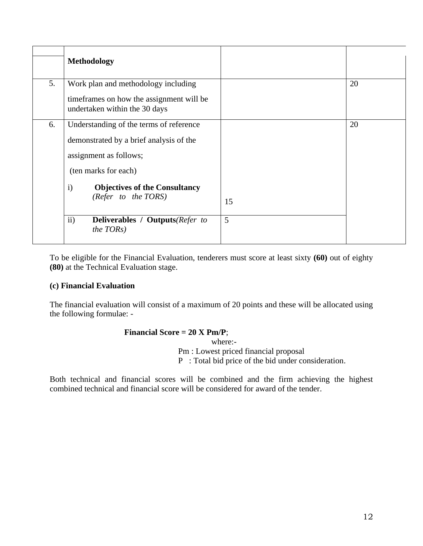|    | <b>Methodology</b>                                                                                                                                                                                                  |         |    |
|----|---------------------------------------------------------------------------------------------------------------------------------------------------------------------------------------------------------------------|---------|----|
| 5. | Work plan and methodology including<br>time frames on how the assignment will be<br>undertaken within the 30 days                                                                                                   |         | 20 |
| 6. | Understanding of the terms of reference<br>demonstrated by a brief analysis of the<br>assignment as follows;<br>(ten marks for each)<br><b>Objectives of the Consultancy</b><br>$\mathbf{i}$<br>(Refer to the TORS) | 15<br>5 | 20 |
|    | ii)<br><b>Deliverables / Outputs</b> (Refer to<br>the TORs)                                                                                                                                                         |         |    |

To be eligible for the Financial Evaluation, tenderers must score at least sixty **(60)** out of eighty **(80)** at the Technical Evaluation stage.

#### **(c) Financial Evaluation**

The financial evaluation will consist of a maximum of 20 points and these will be allocated using the following formulae: -

#### **Financial Score = 20 X Pm/P**;

where:- Pm : Lowest priced financial proposal P : Total bid price of the bid under consideration.

Both technical and financial scores will be combined and the firm achieving the highest combined technical and financial score will be considered for award of the tender.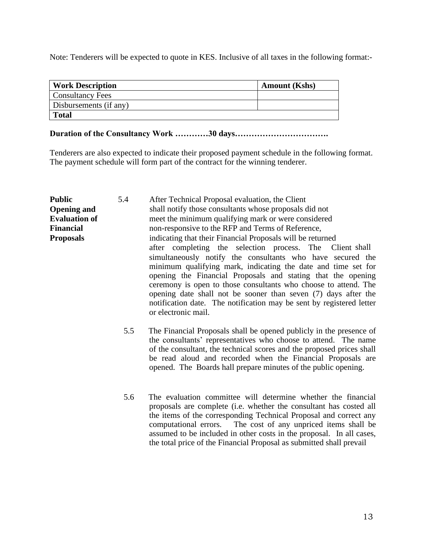Note: Tenderers will be expected to quote in KES. Inclusive of all taxes in the following format:-

| <b>Work Description</b> | <b>Amount</b> (Kshs) |
|-------------------------|----------------------|
| <b>Consultancy Fees</b> |                      |
| Disbursements (if any)  |                      |
| <b>Total</b>            |                      |

### **Duration of the Consultancy Work …………30 days…………………………….**

Tenderers are also expected to indicate their proposed payment schedule in the following format. The payment schedule will form part of the contract for the winning tenderer.

| <b>Public</b><br><b>Opening and</b>                          | 5.4 | After Technical Proposal evaluation, the Client<br>shall notify those consultants whose proposals did not                                                                                                                                                                                                                                                                                                                                                                                                                                                                                                                                                             |  |  |
|--------------------------------------------------------------|-----|-----------------------------------------------------------------------------------------------------------------------------------------------------------------------------------------------------------------------------------------------------------------------------------------------------------------------------------------------------------------------------------------------------------------------------------------------------------------------------------------------------------------------------------------------------------------------------------------------------------------------------------------------------------------------|--|--|
| <b>Evaluation of</b><br><b>Financial</b><br><b>Proposals</b> |     | meet the minimum qualifying mark or were considered<br>non-responsive to the RFP and Terms of Reference,<br>indicating that their Financial Proposals will be returned<br>after completing the selection process. The Client shall<br>simultaneously notify the consultants who have secured the<br>minimum qualifying mark, indicating the date and time set for<br>opening the Financial Proposals and stating that the opening<br>ceremony is open to those consultants who choose to attend. The<br>opening date shall not be sooner than seven (7) days after the<br>notification date. The notification may be sent by registered letter<br>or electronic mail. |  |  |
|                                                              | 5.5 | The Financial Proposals shall be opened publicly in the presence of<br>the consultants' representatives who choose to attend. The name<br>of the consultant, the technical scores and the proposed prices shall<br>be read aloud and recorded when the Financial Proposals are<br>opened. The Boards hall prepare minutes of the public opening.                                                                                                                                                                                                                                                                                                                      |  |  |
|                                                              | 5.6 | The evaluation committee will determine whether the financial<br>proposals are complete (i.e. whether the consultant has costed all<br>the items of the corresponding Technical Proposal and correct any<br>The cost of any unpriced items shall be<br>computational errors.<br>assumed to be included in other costs in the proposal. In all cases,<br>the total price of the Financial Proposal as submitted shall prevail                                                                                                                                                                                                                                          |  |  |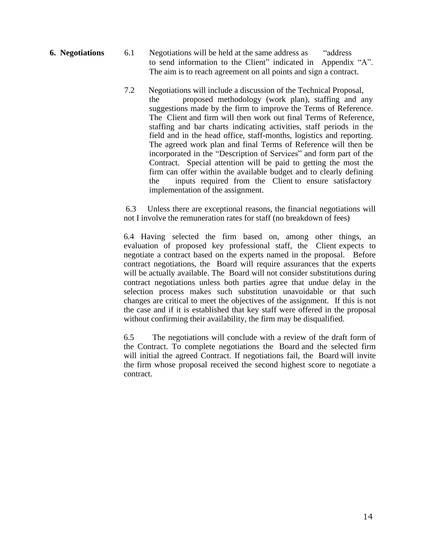- **6. Negotiations** 6.1 Negotiations will be held at the same address as "address" to send information to the Client" indicated in Appendix "A". The aim is to reach agreement on all points and sign a contract.
	- 7.2 Negotiations will include a discussion of the Technical Proposal, the proposed methodology (work plan), staffing and any suggestions made by the firm to improve the Terms of Reference. The Client and firm will then work out final Terms of Reference, staffing and bar charts indicating activities, staff periods in the field and in the head office, staff-months, logistics and reporting. The agreed work plan and final Terms of Reference will then be incorporated in the "Description of Services" and form part of the Contract. Special attention will be paid to getting the most the firm can offer within the available budget and to clearly defining the inputs required from the Client to ensure satisfactory implementation of the assignment.

6.3 Unless there are exceptional reasons, the financial negotiations will not I involve the remuneration rates for staff (no breakdown of fees)

6.4 Having selected the firm based on, among other things, an evaluation of proposed key professional staff, the Client expects to negotiate a contract based on the experts named in the proposal. Before contract negotiations, the Board will require assurances that the experts will be actually available. The Board will not consider substitutions during contract negotiations unless both parties agree that undue delay in the selection process makes such substitution unavoidable or that such changes are critical to meet the objectives of the assignment. If this is not the case and if it is established that key staff were offered in the proposal without confirming their availability, the firm may be disqualified.

6.5 The negotiations will conclude with a review of the draft form of the Contract. To complete negotiations the Board and the selected firm will initial the agreed Contract. If negotiations fail, the Board will invite the firm whose proposal received the second highest score to negotiate a contract.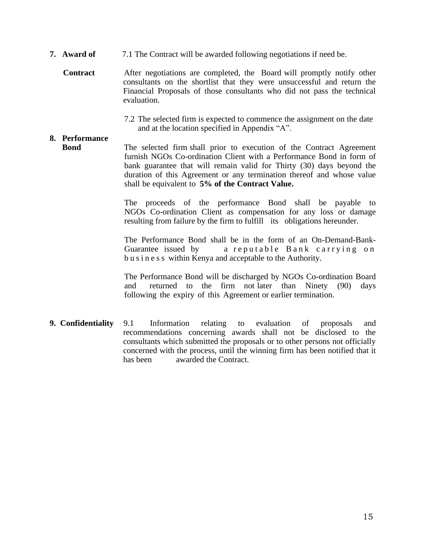- **7. Award of** 7.1 The Contract will be awarded following negotiations if need be.
	- **Contract** After negotiations are completed, the Board will promptly notify other consultants on the shortlist that they were unsuccessful and return the Financial Proposals of those consultants who did not pass the technical evaluation.
		- 7.2 The selected firm is expected to commence the assignment on the date and at the location specified in Appendix "A".

### **8. Performance**

**Bond** The selected firm shall prior to execution of the Contract Agreement furnish NGOs Co-ordination Client with a Performance Bond in form of bank guarantee that will remain valid for Thirty (30) days beyond the duration of this Agreement or any termination thereof and whose value shall be equivalent to **5% of the Contract Value.**

> The proceeds of the performance Bond shall be payable to NGOs Co-ordination Client as compensation for any loss or damage resulting from failure by the firm to fulfill its obligations hereunder.

> The Performance Bond shall be in the form of an On-Demand-Bank-Guarantee issued by a reputable Bank carrying on b u s i n e s s within Kenya and acceptable to the Authority.

> The Performance Bond will be discharged by NGOs Co-ordination Board and returned to the firm not later than Ninety (90) days following the expiry of this Agreement or earlier termination.

**9. Confidentiality** 9.1 Information relating to evaluation of proposals and recommendations concerning awards shall not be disclosed to the consultants which submitted the proposals or to other persons not officially concerned with the process, until the winning firm has been notified that it has been awarded the Contract.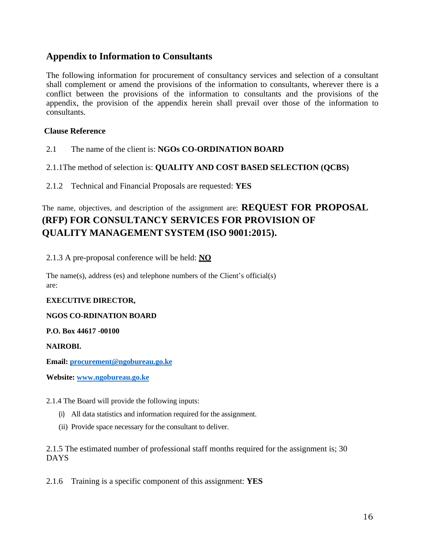### **Appendix to Information to Consultants**

The following information for procurement of consultancy services and selection of a consultant shall complement or amend the provisions of the information to consultants, wherever there is a conflict between the provisions of the information to consultants and the provisions of the appendix, the provision of the appendix herein shall prevail over those of the information to consultants.

#### **Clause Reference**

- 2.1 The name of the client is: **NGOs CO-ORDINATION BOARD**
- 2.1.1The method of selection is: **QUALITY AND COST BASED SELECTION (QCBS)**
- 2.1.2 Technical and Financial Proposals are requested: **YES**

### The name, objectives, and description of the assignment are: **REQUEST FOR PROPOSAL (RFP) FOR CONSULTANCY SERVICES FOR PROVISION OF QUALITY MANAGEMENT SYSTEM (ISO 9001:2015).**

2.1.3 A pre-proposal conference will be held: **NO**

The name(s), address (es) and telephone numbers of the Client's official(s) are:

#### **EXECUTIVE DIRECTOR,**

#### **NGOS CO-RDINATION BOARD**

#### **P.O. Box 44617 -00100**

#### **NAIROBI.**

**Email: [procurement@ngobureau.go.ke](mailto:procurement@ngobureau.go.ke)**

**Website: [www.ngobureau.go.ke](http://www.ngobureau.go.ke/)**

#### 2.1.4 The Board will provide the following inputs:

- (i) All data statistics and information required for the assignment.
- (ii) Provide space necessary for the consultant to deliver.

#### 2.1.5 The estimated number of professional staff months required for the assignment is; 30 DAYS

2.1.6 Training is a specific component of this assignment: **YES**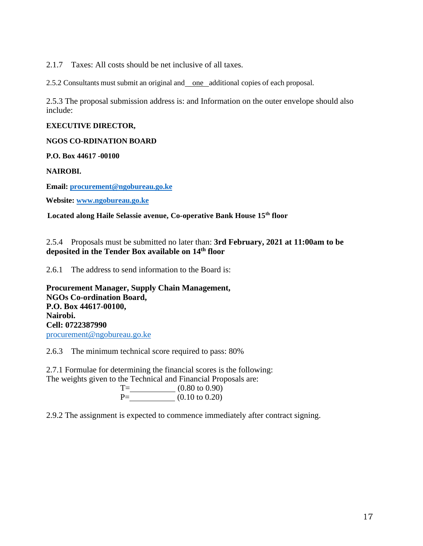2.1.7 Taxes: All costs should be net inclusive of all taxes.

2.5.2 Consultants must submit an original and one additional copies of each proposal.

2.5.3 The proposal submission address is: and Information on the outer envelope should also include:

#### **EXECUTIVE DIRECTOR,**

**NGOS CO-RDINATION BOARD**

**P.O. Box 44617 -00100**

**NAIROBI.**

**Email: [procurement@ngobureau.go.ke](mailto:procurement@ngobureau.go.ke)**

 **Website: [www.ngobureau.go.ke](http://www.ngobureau.go.ke/)**

**Located along Haile Selassie avenue, Co-operative Bank House 15th floor**

2.5.4 Proposals must be submitted no later than: **3rd February, 2021 at 11:00am to be deposited in the Tender Box available on 14th floor** 

2.6.1 The address to send information to the Board is:

**Procurement Manager, Supply Chain Management, NGOs Co-ordination Board, P.O. Box 44617-00100, Nairobi. Cell: 0722387990** [procurement@ngobureau.go.ke](mailto:procurement@ngobureau.go.ke)

2.6.3 The minimum technical score required to pass: 80%

2.7.1 Formulae for determining the financial scores is the following: The weights given to the Technical and Financial Proposals are:

| $T =$ | $(0.80 \text{ to } 0.90)$ |
|-------|---------------------------|
| $P=$  | $(0.10 \text{ to } 0.20)$ |

2.9.2 The assignment is expected to commence immediately after contract signing.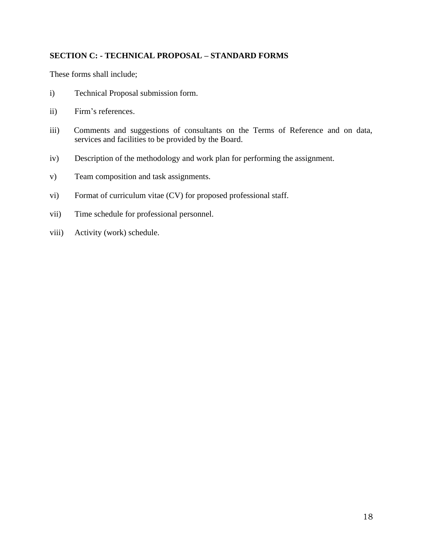### **SECTION C: - TECHNICAL PROPOSAL – STANDARD FORMS**

These forms shall include;

- i) Technical Proposal submission form.
- ii) Firm's references.
- iii) Comments and suggestions of consultants on the Terms of Reference and on data, services and facilities to be provided by the Board.
- iv) Description of the methodology and work plan for performing the assignment.
- v) Team composition and task assignments.
- vi) Format of curriculum vitae (CV) for proposed professional staff.
- vii) Time schedule for professional personnel.
- viii) Activity (work) schedule.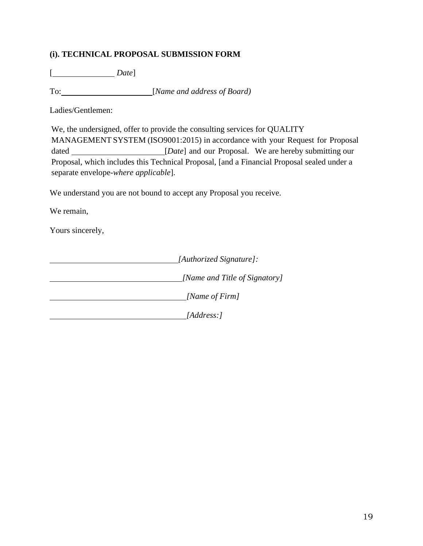### **(i). TECHNICAL PROPOSAL SUBMISSION FORM**

[ *Date*]

To: [*Name and address of Board)*

Ladies/Gentlemen:

We, the undersigned, offer to provide the consulting services for QUALITY MANAGEMENT SYSTEM (ISO9001:2015) in accordance with your Request for Proposal dated [*Date*] and our Proposal. We are hereby submitting our Proposal, which includes this Technical Proposal, [and a Financial Proposal sealed under a separate envelope-*where applicable*].

We understand you are not bound to accept any Proposal you receive.

We remain,

Yours sincerely,

 *[Authorized Signature]: [Name and Title of Signatory] [Name of Firm] [Address:]*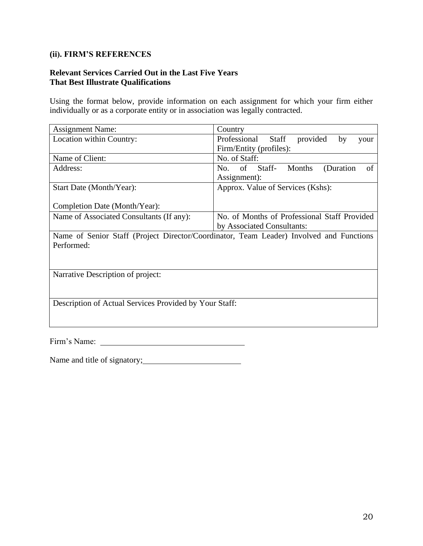### **(ii). FIRM'S REFERENCES**

### **Relevant Services Carried Out in the Last Five Years That Best Illustrate Qualifications**

Using the format below, provide information on each assignment for which your firm either individually or as a corporate entity or in association was legally contracted.

| <b>Assignment Name:</b>                                | Country                                                                                 |  |  |
|--------------------------------------------------------|-----------------------------------------------------------------------------------------|--|--|
| Location within Country:                               | provided<br>Professional<br><b>Staff</b><br>by<br>your                                  |  |  |
|                                                        | Firm/Entity (profiles):                                                                 |  |  |
| Name of Client:                                        | No. of Staff:                                                                           |  |  |
| Address:                                               | of<br>Staff-<br><b>Months</b><br>(Duration<br>No.<br>of                                 |  |  |
|                                                        | Assignment):                                                                            |  |  |
| Start Date (Month/Year):                               | Approx. Value of Services (Kshs):                                                       |  |  |
|                                                        |                                                                                         |  |  |
| Completion Date (Month/Year):                          |                                                                                         |  |  |
| Name of Associated Consultants (If any):               | No. of Months of Professional Staff Provided                                            |  |  |
|                                                        | by Associated Consultants:                                                              |  |  |
|                                                        | Name of Senior Staff (Project Director/Coordinator, Team Leader) Involved and Functions |  |  |
| Performed:                                             |                                                                                         |  |  |
|                                                        |                                                                                         |  |  |
|                                                        |                                                                                         |  |  |
| Narrative Description of project:                      |                                                                                         |  |  |
|                                                        |                                                                                         |  |  |
|                                                        |                                                                                         |  |  |
| Description of Actual Services Provided by Your Staff: |                                                                                         |  |  |
|                                                        |                                                                                         |  |  |
|                                                        |                                                                                         |  |  |
|                                                        |                                                                                         |  |  |

Firm's Name:

Name and title of signatory; Name and title of signatory;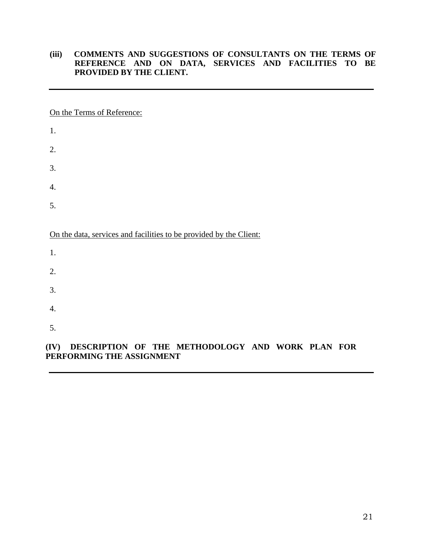### **(iii) COMMENTS AND SUGGESTIONS OF CONSULTANTS ON THE TERMS OF REFERENCE AND ON DATA, SERVICES AND FACILITIES TO BE PROVIDED BY THE CLIENT.**

On the Terms of Reference:

| 1.                                                                 |
|--------------------------------------------------------------------|
| 2.                                                                 |
| 3.                                                                 |
| 4.                                                                 |
| 5.                                                                 |
|                                                                    |
| On the data, services and facilities to be provided by the Client: |
| 1.                                                                 |
| 2.                                                                 |
| 3.                                                                 |
| $\overline{4}$ .                                                   |

### **(IV) DESCRIPTION OF THE METHODOLOGY AND WORK PLAN FOR PERFORMING THE ASSIGNMENT**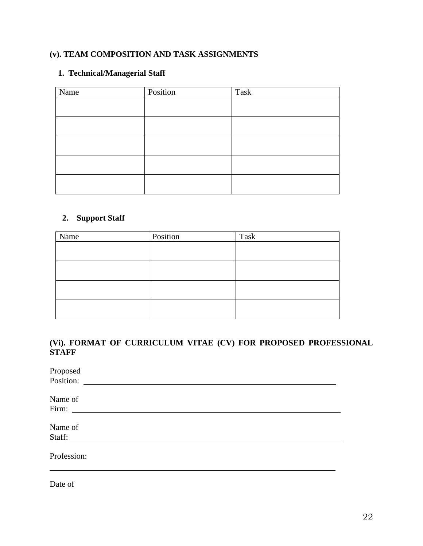### **(v). TEAM COMPOSITION AND TASK ASSIGNMENTS**

### **1. Technical/Managerial Staff**

| Name | Position | $\operatorname{{\bf Task}}$ |
|------|----------|-----------------------------|
|      |          |                             |
|      |          |                             |
|      |          |                             |
|      |          |                             |
|      |          |                             |
|      |          |                             |
|      |          |                             |
|      |          |                             |
|      |          |                             |
|      |          |                             |

### **2. Support Staff**

| Name | Position | Task |
|------|----------|------|
|      |          |      |
|      |          |      |
|      |          |      |
|      |          |      |
|      |          |      |
|      |          |      |
|      |          |      |
|      |          |      |

### **(Vi). FORMAT OF CURRICULUM VITAE (CV) FOR PROPOSED PROFESSIONAL STAFF**

Date of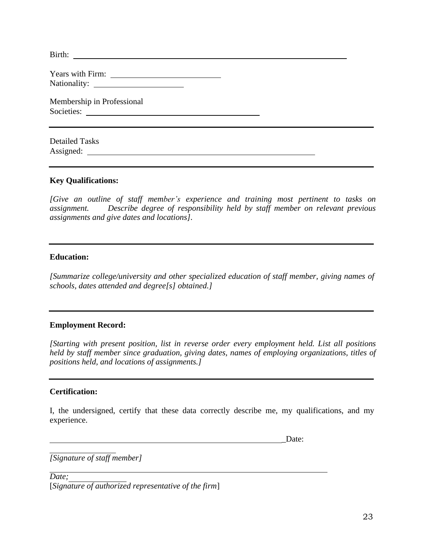| Membership in Professional<br>Societies: |  |
|------------------------------------------|--|
| <b>Detailed Tasks</b>                    |  |

#### **Key Qualifications:**

*[Give an outline of staff member's experience and training most pertinent to tasks on assignment. Describe degree of responsibility held by staff member on relevant previous assignments and give dates and locations].*

#### **Education:**

*[Summarize college/university and other specialized education of staff member, giving names of schools, dates attended and degree[s] obtained.]*

### **Employment Record:**

*[Starting with present position, list in reverse order every employment held. List all positions held by staff member since graduation, giving dates, names of employing organizations, titles of positions held, and locations of assignments.]*

#### **Certification:**

I, the undersigned, certify that these data correctly describe me, my qualifications, and my experience.

\_Date:

*[Signature of staff member]*

*Date;* [*Signature of authorized representative of the firm*]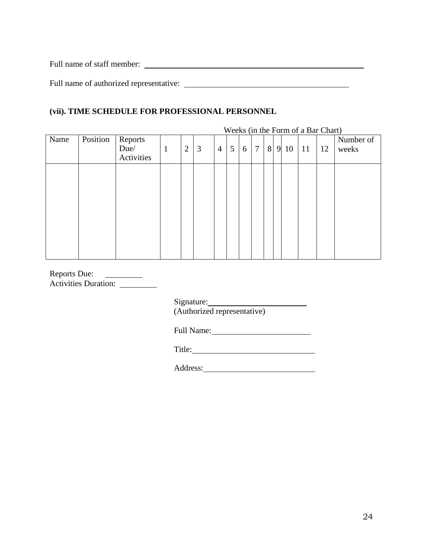Full name of staff member:

Full name of authorized representative:

### **(vii). TIME SCHEDULE FOR PROFESSIONAL PERSONNEL**

|      |          |            |              |                |   |                |   |   |        |   |   |    | Weeks (in the Form of a Bar Chart) |    |           |
|------|----------|------------|--------------|----------------|---|----------------|---|---|--------|---|---|----|------------------------------------|----|-----------|
| Name | Position | Reports    |              |                |   |                |   |   |        |   |   |    |                                    |    | Number of |
|      |          | Due/       | $\mathbf{1}$ | $\overline{2}$ | 3 | $\overline{4}$ | 5 | 6 | $\tau$ | 8 | 9 | 10 | <sup>11</sup>                      | 12 | weeks     |
|      |          | Activities |              |                |   |                |   |   |        |   |   |    |                                    |    |           |
|      |          |            |              |                |   |                |   |   |        |   |   |    |                                    |    |           |
|      |          |            |              |                |   |                |   |   |        |   |   |    |                                    |    |           |
|      |          |            |              |                |   |                |   |   |        |   |   |    |                                    |    |           |
|      |          |            |              |                |   |                |   |   |        |   |   |    |                                    |    |           |
|      |          |            |              |                |   |                |   |   |        |   |   |    |                                    |    |           |
|      |          |            |              |                |   |                |   |   |        |   |   |    |                                    |    |           |
|      |          |            |              |                |   |                |   |   |        |   |   |    |                                    |    |           |
|      |          |            |              |                |   |                |   |   |        |   |   |    |                                    |    |           |
|      |          |            |              |                |   |                |   |   |        |   |   |    |                                    |    |           |
|      |          |            |              |                |   |                |   |   |        |   |   |    |                                    |    |           |

Reports Due: Activities Duration:

> Signature: (Authorized representative)

Full Name:

Title:

Address: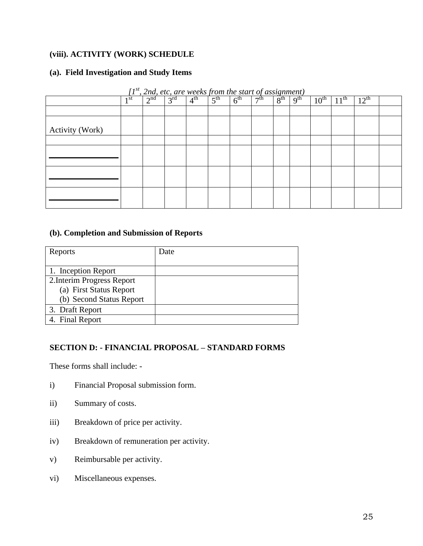### **(viii). ACTIVITY (WORK) SCHEDULE**

#### **(a). Field Investigation and Study Items**

| <u>, 2nd, etc, are weeks from the start of assignment)</u><br>T |        |                 |                 |                 |                 |                 |           |                                   |                 |                  |           |                  |  |
|-----------------------------------------------------------------|--------|-----------------|-----------------|-----------------|-----------------|-----------------|-----------|-----------------------------------|-----------------|------------------|-----------|------------------|--|
|                                                                 | $1$ st | 2 <sup>nd</sup> | 3 <sup>rd</sup> | 4 <sup>th</sup> | $5^{\text{th}}$ | 6 <sup>th</sup> | $\neg$ th | $\circ$ <sup>th</sup><br>$\Omega$ | 9 <sup>th</sup> | $10^{\text{th}}$ | $11^{th}$ | $12^{\text{th}}$ |  |
|                                                                 |        |                 |                 |                 |                 |                 |           |                                   |                 |                  |           |                  |  |
| Activity (Work)                                                 |        |                 |                 |                 |                 |                 |           |                                   |                 |                  |           |                  |  |
|                                                                 |        |                 |                 |                 |                 |                 |           |                                   |                 |                  |           |                  |  |
|                                                                 |        |                 |                 |                 |                 |                 |           |                                   |                 |                  |           |                  |  |
|                                                                 |        |                 |                 |                 |                 |                 |           |                                   |                 |                  |           |                  |  |
|                                                                 |        |                 |                 |                 |                 |                 |           |                                   |                 |                  |           |                  |  |

*[1 st , 2nd, etc, are weeks from the start of assignment)*

### **(b). Completion and Submission of Reports**

| Reports                    | Date |
|----------------------------|------|
|                            |      |
| 1. Inception Report        |      |
| 2. Interim Progress Report |      |
| (a) First Status Report    |      |
| (b) Second Status Report   |      |
| 3. Draft Report            |      |
| 4. Final Report            |      |

#### **SECTION D: - FINANCIAL PROPOSAL – STANDARD FORMS**

These forms shall include: -

- i) Financial Proposal submission form.
- ii) Summary of costs.
- iii) Breakdown of price per activity.
- iv) Breakdown of remuneration per activity.
- v) Reimbursable per activity.
- vi) Miscellaneous expenses.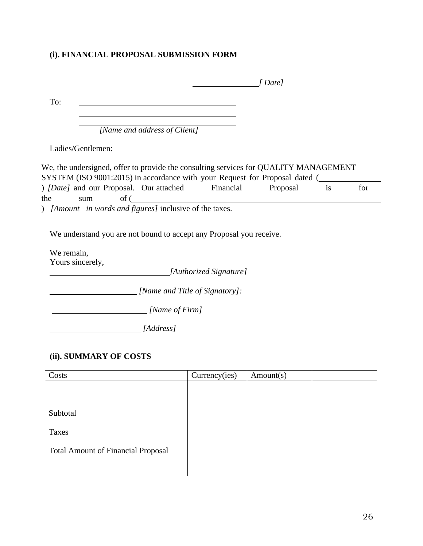### **(i). FINANCIAL PROPOSAL SUBMISSION FORM**

|                  |                                                                                                                                                                     | Date l   |    |     |
|------------------|---------------------------------------------------------------------------------------------------------------------------------------------------------------------|----------|----|-----|
| To:              |                                                                                                                                                                     |          |    |     |
|                  |                                                                                                                                                                     |          |    |     |
|                  | [Name and address of Client]                                                                                                                                        |          |    |     |
|                  | Ladies/Gentlemen:                                                                                                                                                   |          |    |     |
|                  | We, the undersigned, offer to provide the consulting services for QUALITY MANAGEMENT<br>SYSTEM (ISO 9001:2015) in accordance with your Request for Proposal dated ( |          |    |     |
|                  | ( <i>Date l</i> and our Proposal. Our attached Financial                                                                                                            | Proposal | is | for |
| the              | $\int$ of (<br>sum<br>) [Amount in words and figures] inclusive of the taxes.                                                                                       |          |    |     |
|                  | We understand you are not bound to accept any Proposal you receive.                                                                                                 |          |    |     |
| We remain,       |                                                                                                                                                                     |          |    |     |
| Yours sincerely, |                                                                                                                                                                     |          |    |     |
|                  | [Authorized Signature]                                                                                                                                              |          |    |     |
|                  | [Name and Title of Signatory]:                                                                                                                                      |          |    |     |
|                  | [Name of Firm]                                                                                                                                                      |          |    |     |
|                  | [Address]                                                                                                                                                           |          |    |     |

### **(ii). SUMMARY OF COSTS**

| Costs                                     | Currency(ies) | Amount(s) |  |
|-------------------------------------------|---------------|-----------|--|
|                                           |               |           |  |
|                                           |               |           |  |
|                                           |               |           |  |
| Subtotal                                  |               |           |  |
| Taxes                                     |               |           |  |
|                                           |               |           |  |
| <b>Total Amount of Financial Proposal</b> |               |           |  |
|                                           |               |           |  |
|                                           |               |           |  |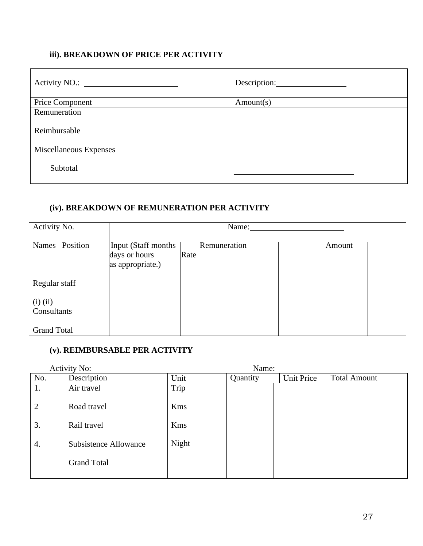### **iii). BREAKDOWN OF PRICE PER ACTIVITY**

|                        | Description: |
|------------------------|--------------|
| Price Component        | Amount(s)    |
| Remuneration           |              |
| Reimbursable           |              |
| Miscellaneous Expenses |              |
| Subtotal               |              |

### **(iv). BREAKDOWN OF REMUNERATION PER ACTIVITY**

| Activity No.                | Name:                                                    |                      |        |  |  |  |  |
|-----------------------------|----------------------------------------------------------|----------------------|--------|--|--|--|--|
| Names Position              | Input (Staff months<br>days or hours<br>as appropriate.) | Remuneration<br>Rate | Amount |  |  |  |  |
| Regular staff               |                                                          |                      |        |  |  |  |  |
| $(i)$ $(ii)$<br>Consultants |                                                          |                      |        |  |  |  |  |
| <b>Grand Total</b>          |                                                          |                      |        |  |  |  |  |

### **(v). REIMBURSABLE PER ACTIVITY**

|                | <b>Activity No:</b>          |            |          |                   |                     |
|----------------|------------------------------|------------|----------|-------------------|---------------------|
| No.            | Description                  | Unit       | Quantity | <b>Unit Price</b> | <b>Total Amount</b> |
| 1.             | Air travel                   | Trip       |          |                   |                     |
| $\overline{2}$ | Road travel                  | <b>Kms</b> |          |                   |                     |
| 3.             | Rail travel                  | <b>Kms</b> |          |                   |                     |
| 4.             | <b>Subsistence Allowance</b> | Night      |          |                   |                     |
|                | <b>Grand Total</b>           |            |          |                   |                     |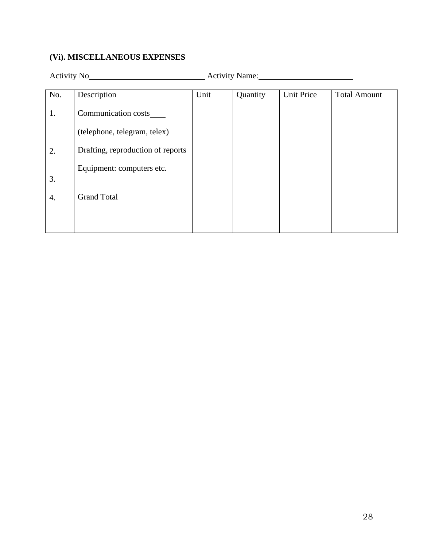### **(Vi). MISCELLANEOUS EXPENSES**

Activity No Activity Name:

| No. | Description                       | Unit | Quantity | <b>Unit Price</b> | <b>Total Amount</b> |
|-----|-----------------------------------|------|----------|-------------------|---------------------|
| 1.  | Communication costs_              |      |          |                   |                     |
|     | (telephone, telegram, telex)      |      |          |                   |                     |
| 2.  | Drafting, reproduction of reports |      |          |                   |                     |
| 3.  | Equipment: computers etc.         |      |          |                   |                     |
| 4.  | <b>Grand Total</b>                |      |          |                   |                     |
|     |                                   |      |          |                   |                     |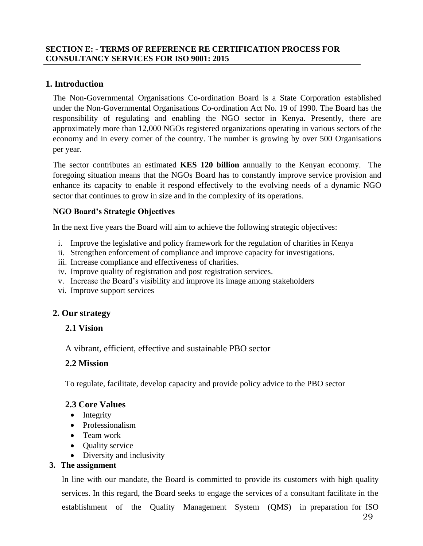### **SECTION E: - TERMS OF REFERENCE RE CERTIFICATION PROCESS FOR CONSULTANCY SERVICES FOR ISO 9001: 2015**

### **1. Introduction**

The Non-Governmental Organisations Co-ordination Board is a State Corporation established under the Non-Governmental Organisations Co-ordination Act No. 19 of 1990. The Board has the responsibility of regulating and enabling the NGO sector in Kenya. Presently, there are approximately more than 12,000 NGOs registered organizations operating in various sectors of the economy and in every corner of the country. The number is growing by over 500 Organisations per year.

The sector contributes an estimated **KES 120 billion** annually to the Kenyan economy. The foregoing situation means that the NGOs Board has to constantly improve service provision and enhance its capacity to enable it respond effectively to the evolving needs of a dynamic NGO sector that continues to grow in size and in the complexity of its operations.

#### **NGO Board's Strategic Objectives**

In the next five years the Board will aim to achieve the following strategic objectives:

- i. Improve the legislative and policy framework for the regulation of charities in Kenya
- ii. Strengthen enforcement of compliance and improve capacity for investigations.
- iii. Increase compliance and effectiveness of charities.
- iv. Improve quality of registration and post registration services.
- v. Increase the Board's visibility and improve its image among stakeholders
- vi. Improve support services

### **2. Our strategy**

### **2.1 Vision**

A vibrant, efficient, effective and sustainable PBO sector

### **2.2 Mission**

To regulate, facilitate, develop capacity and provide policy advice to the PBO sector

### **2.3 Core Values**

- Integrity
- Professionalism
- Team work
- Ouality service
- Diversity and inclusivity

#### **3. The assignment**

In line with our mandate, the Board is committed to provide its customers with high quality services. In this regard, the Board seeks to engage the services of a consultant facilitate in the establishment of the Quality Management System (QMS) in preparation for ISO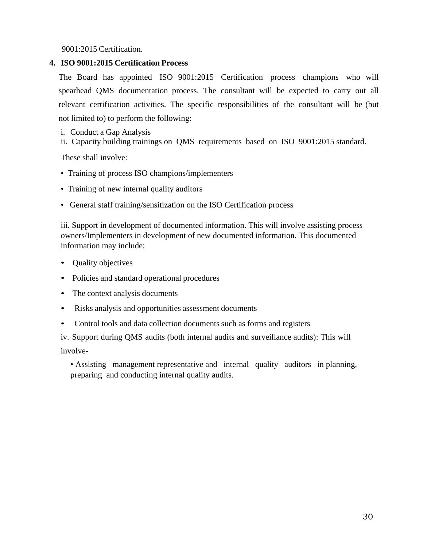9001:2015 Certification.

### **4. ISO 9001:2015 Certification Process**

The Board has appointed ISO 9001:2015 Certification process champions who will spearhead QMS documentation process. The consultant will be expected to carry out all relevant certification activities. The specific responsibilities of the consultant will be (but not limited to) to perform the following:

i. Conduct a Gap Analysis

ii. Capacity building trainings on QMS requirements based on ISO 9001:2015 standard.

These shall involve:

- Training of process ISO champions/implementers
- Training of new internal quality auditors
- General staff training/sensitization on the ISO Certification process

iii. Support in development of documented information. This will involve assisting process owners/Implementers in development of new documented information. This documented information may include:

- Quality objectives
- Policies and standard operational procedures
- The context analysis documents
- Risks analysis and opportunities assessment documents
- Control tools and data collection documents such as forms and registers

iv. Support during QMS audits (both internal audits and surveillance audits): This will involve-

• Assisting management representative and internal quality auditors in planning, preparing and conducting internal quality audits.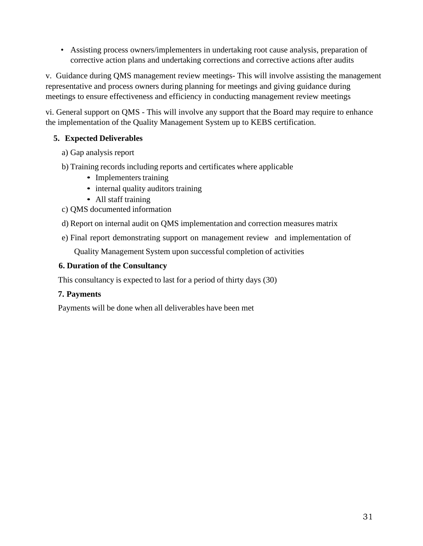• Assisting process owners/implementers in undertaking root cause analysis, preparation of corrective action plans and undertaking corrections and corrective actions after audits

v. Guidance during QMS management review meetings- This will involve assisting the management representative and process owners during planning for meetings and giving guidance during meetings to ensure effectiveness and efficiency in conducting management review meetings

vi. General support on QMS - This will involve any support that the Board may require to enhance the implementation of the Quality Management System up to KEBS certification.

### **5. Expected Deliverables**

- a) Gap analysis report
- b) Training records including reports and certificates where applicable
	- Implementers training
	- internal quality auditors training
	- All staff training
- c) QMS documented information
- d) Report on internal audit on QMS implementation and correction measures matrix
- e) Final report demonstrating support on management review and implementation of

Quality Management System upon successful completion of activities

### **6. Duration of the Consultancy**

This consultancy is expected to last for a period of thirty days (30)

### **7. Payments**

Payments will be done when all deliverables have been met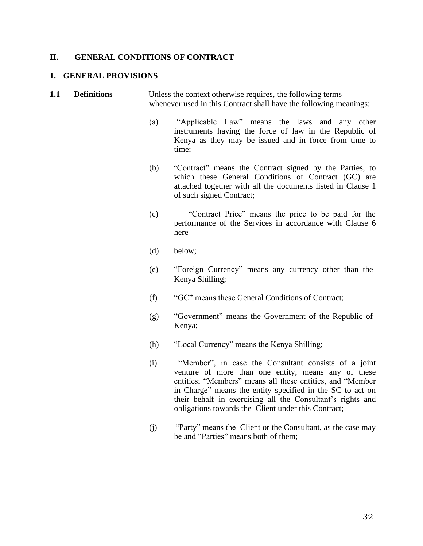#### **II. GENERAL CONDITIONS OF CONTRACT**

#### **1. GENERAL PROVISIONS**

**1.1 Definitions** Unless the context otherwise requires, the following terms whenever used in this Contract shall have the following meanings:

- (a) "Applicable Law" means the laws and any other instruments having the force of law in the Republic of Kenya as they may be issued and in force from time to time;
- (b) "Contract" means the Contract signed by the Parties, to which these General Conditions of Contract (GC) are attached together with all the documents listed in Clause 1 of such signed Contract;
- (c) "Contract Price" means the price to be paid for the performance of the Services in accordance with Clause 6 here
- (d) below;
- (e) "Foreign Currency" means any currency other than the Kenya Shilling;
- (f) "GC" means these General Conditions of Contract;
- (g) "Government" means the Government of the Republic of Kenya;
- (h) "Local Currency" means the Kenya Shilling;
- (i) "Member", in case the Consultant consists of a joint venture of more than one entity, means any of these entities; "Members" means all these entities, and "Member in Charge" means the entity specified in the SC to act on their behalf in exercising all the Consultant's rights and obligations towards the Client under this Contract;
- (j) "Party" means the Client or the Consultant, as the case may be and "Parties" means both of them;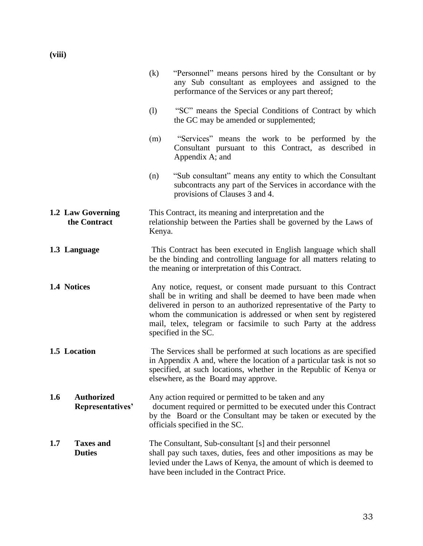**(viii)**

|                                              | (k)                                                                                                                                                                                                                                                                                                                                                                  | "Personnel" means persons hired by the Consultant or by<br>any Sub consultant as employees and assigned to the<br>performance of the Services or any part thereof;                                                                                      |  |  |  |
|----------------------------------------------|----------------------------------------------------------------------------------------------------------------------------------------------------------------------------------------------------------------------------------------------------------------------------------------------------------------------------------------------------------------------|---------------------------------------------------------------------------------------------------------------------------------------------------------------------------------------------------------------------------------------------------------|--|--|--|
|                                              | (1)                                                                                                                                                                                                                                                                                                                                                                  | "SC" means the Special Conditions of Contract by which<br>the GC may be amended or supplemented;                                                                                                                                                        |  |  |  |
|                                              | (m)                                                                                                                                                                                                                                                                                                                                                                  | "Services" means the work to be performed by the<br>Consultant pursuant to this Contract, as described in<br>Appendix A; and                                                                                                                            |  |  |  |
|                                              | (n)                                                                                                                                                                                                                                                                                                                                                                  | "Sub consultant" means any entity to which the Consultant<br>subcontracts any part of the Services in accordance with the<br>provisions of Clauses 3 and 4.                                                                                             |  |  |  |
| 1.2 Law Governing<br>the Contract            | Kenya.                                                                                                                                                                                                                                                                                                                                                               | This Contract, its meaning and interpretation and the<br>relationship between the Parties shall be governed by the Laws of                                                                                                                              |  |  |  |
| 1.3 Language                                 | This Contract has been executed in English language which shall<br>be the binding and controlling language for all matters relating to<br>the meaning or interpretation of this Contract.                                                                                                                                                                            |                                                                                                                                                                                                                                                         |  |  |  |
| 1.4 Notices                                  | Any notice, request, or consent made pursuant to this Contract<br>shall be in writing and shall be deemed to have been made when<br>delivered in person to an authorized representative of the Party to<br>whom the communication is addressed or when sent by registered<br>mail, telex, telegram or facsimile to such Party at the address<br>specified in the SC. |                                                                                                                                                                                                                                                         |  |  |  |
| 1.5 Location                                 |                                                                                                                                                                                                                                                                                                                                                                      | The Services shall be performed at such locations as are specified<br>in Appendix A and, where the location of a particular task is not so<br>specified, at such locations, whether in the Republic of Kenya or<br>elsewhere, as the Board may approve. |  |  |  |
| <b>Authorized</b><br>1.6<br>Representatives' |                                                                                                                                                                                                                                                                                                                                                                      | Any action required or permitted to be taken and any<br>document required or permitted to be executed under this Contract<br>by the Board or the Consultant may be taken or executed by the<br>officials specified in the SC.                           |  |  |  |
| <b>Taxes and</b><br>1.7<br><b>Duties</b>     |                                                                                                                                                                                                                                                                                                                                                                      | The Consultant, Sub-consultant [s] and their personnel<br>shall pay such taxes, duties, fees and other impositions as may be<br>levied under the Laws of Kenya, the amount of which is deemed to<br>have been included in the Contract Price.           |  |  |  |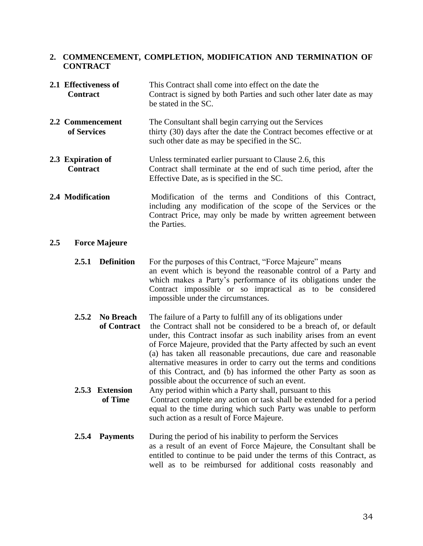#### **2. COMMENCEMENT, COMPLETION, MODIFICATION AND TERMINATION OF CONTRACT**

| 2.1 Effectiveness of<br><b>Contract</b> | This Contract shall come into effect on the date the<br>Contract is signed by both Parties and such other later date as may<br>be stated in the SC.                                                           |
|-----------------------------------------|---------------------------------------------------------------------------------------------------------------------------------------------------------------------------------------------------------------|
| 2.2 Commencement<br>of Services         | The Consultant shall begin carrying out the Services<br>thirty (30) days after the date the Contract becomes effective or at<br>such other date as may be specified in the SC.                                |
| 2.3 Expiration of<br><b>Contract</b>    | Unless terminated earlier pursuant to Clause 2.6, this<br>Contract shall terminate at the end of such time period, after the<br>Effective Date, as is specified in the SC.                                    |
| 2.4 Modification                        | Modification of the terms and Conditions of this Contract,<br>including any modification of the scope of the Services or the<br>Contract Price, may only be made by written agreement between<br>the Parties. |

#### **2.5 Force Majeure**

| 2.5.1 Definition | For the purposes of this Contract, "Force Majeure" means       |  |  |
|------------------|----------------------------------------------------------------|--|--|
|                  | an event which is beyond the reasonable control of a Party and |  |  |
|                  | which makes a Party's performance of its obligations under the |  |  |
|                  | Contract impossible or so impractical as to be considered      |  |  |
|                  | impossible under the circumstances.                            |  |  |

**2.5.2 No Breach** The failure of a Party to fulfill any of its obligations under

**of Contract** the Contract shall not be considered to be a breach of, or default under, this Contract insofar as such inability arises from an event of Force Majeure, provided that the Party affected by such an event (a) has taken all reasonable precautions, due care and reasonable alternative measures in order to carry out the terms and conditions of this Contract, and (b) has informed the other Party as soon as possible about the occurrence of such an event.

- **2.5.3 Extension** Any period within which a Party shall, pursuant to this **of Time** Contract complete any action or task shall be extended for a period equal to the time during which such Party was unable to perform such action as a result of Force Majeure.
- **2.5.4 Payments** During the period of his inability to perform the Services as a result of an event of Force Majeure, the Consultant shall be entitled to continue to be paid under the terms of this Contract, as well as to be reimbursed for additional costs reasonably and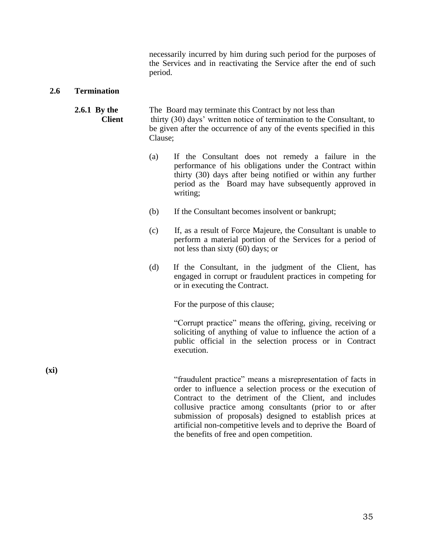necessarily incurred by him during such period for the purposes of the Services and in reactivating the Service after the end of such period.

#### **2.6 Termination**

#### **2.6.1 By the** The Board may terminate this Contract by not less than **Client** thirty (30) days' written notice of termination to the Consultant, to be given after the occurrence of any of the events specified in this Clause;

- (a) If the Consultant does not remedy a failure in the performance of his obligations under the Contract within thirty (30) days after being notified or within any further period as the Board may have subsequently approved in writing;
- (b) If the Consultant becomes insolvent or bankrupt;
- (c) If, as a result of Force Majeure, the Consultant is unable to perform a material portion of the Services for a period of not less than sixty (60) days; or
- (d) If the Consultant, in the judgment of the Client, has engaged in corrupt or fraudulent practices in competing for or in executing the Contract.

For the purpose of this clause;

"Corrupt practice" means the offering, giving, receiving or soliciting of anything of value to influence the action of a public official in the selection process or in Contract execution.

**(xi)**

"fraudulent practice" means a misrepresentation of facts in order to influence a selection process or the execution of Contract to the detriment of the Client, and includes collusive practice among consultants (prior to or after submission of proposals) designed to establish prices at artificial non-competitive levels and to deprive the Board of the benefits of free and open competition.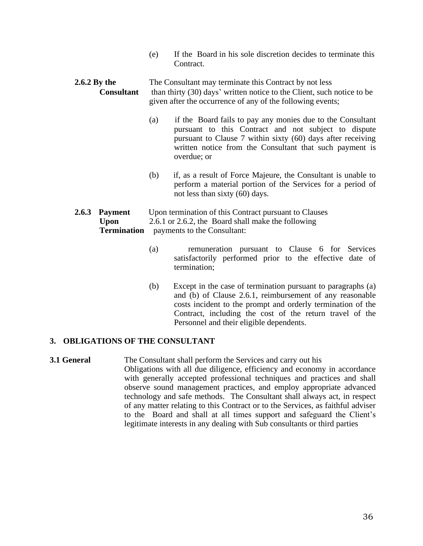(e) If the Board in his sole discretion decides to terminate this Contract.

### **2.6.2 By the** The Consultant may terminate this Contract by not less **Consultant** than thirty (30) days' written notice to the Client, such notice to be given after the occurrence of any of the following events;

- (a) if the Board fails to pay any monies due to the Consultant pursuant to this Contract and not subject to dispute pursuant to Clause 7 within sixty (60) days after receiving written notice from the Consultant that such payment is overdue; or
- (b) if, as a result of Force Majeure, the Consultant is unable to perform a material portion of the Services for a period of not less than sixty (60) days.

#### **2.6.3 Payment** Upon termination of this Contract pursuant to Clauses **Upon** 2.6.1 or 2.6.2, the Board shall make the following **Termination** payments to the Consultant:

- (a) remuneration pursuant to Clause 6 for Services satisfactorily performed prior to the effective date of termination;
- (b) Except in the case of termination pursuant to paragraphs (a) and (b) of Clause 2.6.1, reimbursement of any reasonable costs incident to the prompt and orderly termination of the Contract, including the cost of the return travel of the Personnel and their eligible dependents.

### **3. OBLIGATIONS OF THE CONSULTANT**

**3.1 General** The Consultant shall perform the Services and carry out his Obligations with all due diligence, efficiency and economy in accordance with generally accepted professional techniques and practices and shall observe sound management practices, and employ appropriate advanced technology and safe methods. The Consultant shall always act, in respect of any matter relating to this Contract or to the Services, as faithful adviser to the Board and shall at all times support and safeguard the Client's legitimate interests in any dealing with Sub consultants or third parties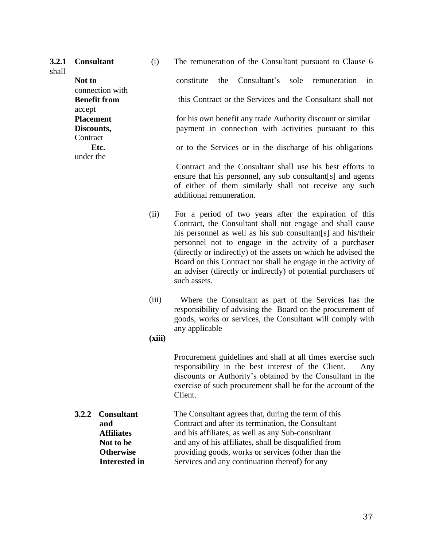| 3.2.1<br>shall | <b>Consultant</b>              | (i)  | The remuneration of the Consultant pursuant to Clause 6                                                                                                                                                                                       |
|----------------|--------------------------------|------|-----------------------------------------------------------------------------------------------------------------------------------------------------------------------------------------------------------------------------------------------|
|                | Not to<br>connection with      |      | Consultant's<br>constitute<br>sole remuneration<br>the<br>in                                                                                                                                                                                  |
|                | <b>Benefit from</b><br>accept  |      | this Contract or the Services and the Consultant shall not                                                                                                                                                                                    |
|                | <b>Placement</b><br>Discounts, |      | for his own benefit any trade Authority discount or similar<br>payment in connection with activities pursuant to this                                                                                                                         |
|                | Contract<br>Etc.               |      | or to the Services or in the discharge of his obligations                                                                                                                                                                                     |
|                | under the                      |      | Contract and the Consultant shall use his best efforts to<br>ensure that his personnel, any sub consultant [s] and agents<br>of either of them similarly shall not receive any such<br>additional remuneration.                               |
|                |                                | (ii) | For a period of two years after the expiration of this<br>Contract, the Consultant shall not engage and shall cause<br>his personnel as well as his sub consultant[s] and his/their<br>personnel not to engage in the activity of a purchaser |

- (directly or indirectly) of the assets on which he advised the Board on this Contract nor shall he engage in the activity of an adviser (directly or indirectly) of potential purchasers of such assets.
- (iii) Where the Consultant as part of the Services has the responsibility of advising the Board on the procurement of goods, works or services, the Consultant will comply with any applicable
- **(xiii)**

> Procurement guidelines and shall at all times exercise such responsibility in the best interest of the Client. Any discounts or Authority's obtained by the Consultant in the exercise of such procurement shall be for the account of the Client.

**3.2.2 Consultant and Affiliates Not to be Otherwise Interested in** The Consultant agrees that, during the term of this Contract and after its termination, the Consultant and his affiliates, as well as any Sub-consultant and any of his affiliates, shall be disqualified from providing goods, works or services (other than the Services and any continuation thereof) for any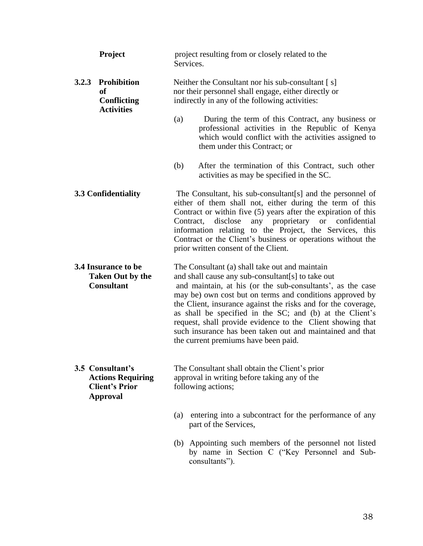| Project                                                                                  | project resulting from or closely related to the<br>Services.                                                                                                                                                                                                                                                                                                                                                                                                                                                                 |  |  |
|------------------------------------------------------------------------------------------|-------------------------------------------------------------------------------------------------------------------------------------------------------------------------------------------------------------------------------------------------------------------------------------------------------------------------------------------------------------------------------------------------------------------------------------------------------------------------------------------------------------------------------|--|--|
| 3.2.3 Prohibition<br>of<br><b>Conflicting</b>                                            | Neither the Consultant nor his sub-consultant [s]<br>nor their personnel shall engage, either directly or<br>indirectly in any of the following activities:                                                                                                                                                                                                                                                                                                                                                                   |  |  |
| <b>Activities</b>                                                                        | (a)<br>During the term of this Contract, any business or<br>professional activities in the Republic of Kenya<br>which would conflict with the activities assigned to<br>them under this Contract; or                                                                                                                                                                                                                                                                                                                          |  |  |
|                                                                                          | After the termination of this Contract, such other<br>(b)<br>activities as may be specified in the SC.                                                                                                                                                                                                                                                                                                                                                                                                                        |  |  |
| 3.3 Confidentiality                                                                      | The Consultant, his sub-consultant[s] and the personnel of<br>either of them shall not, either during the term of this<br>Contract or within five $(5)$ years after the expiration of this<br>any proprietary<br>Contract,<br>disclose<br><b>or</b><br>confidential<br>information relating to the Project, the Services, this<br>Contract or the Client's business or operations without the<br>prior written consent of the Client.                                                                                         |  |  |
| <b>3.4 Insurance to be</b><br><b>Taken Out by the</b><br><b>Consultant</b>               | The Consultant (a) shall take out and maintain<br>and shall cause any sub-consultant[s] to take out<br>and maintain, at his (or the sub-consultants', as the case<br>may be) own cost but on terms and conditions approved by<br>the Client, insurance against the risks and for the coverage,<br>as shall be specified in the SC; and (b) at the Client's<br>request, shall provide evidence to the Client showing that<br>such insurance has been taken out and maintained and that<br>the current premiums have been paid. |  |  |
| 3.5 Consultant's<br><b>Actions Requiring</b><br><b>Client's Prior</b><br><b>Approval</b> | The Consultant shall obtain the Client's prior<br>approval in writing before taking any of the<br>following actions;                                                                                                                                                                                                                                                                                                                                                                                                          |  |  |
|                                                                                          | entering into a subcontract for the performance of any<br>(a)<br>part of the Services,                                                                                                                                                                                                                                                                                                                                                                                                                                        |  |  |
|                                                                                          | (b) Appointing such members of the personnel not listed<br>by name in Section C ("Key Personnel and Sub-<br>consultants").                                                                                                                                                                                                                                                                                                                                                                                                    |  |  |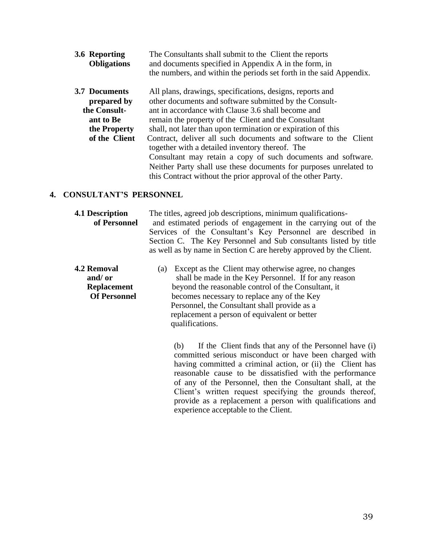| 3.6 Reporting<br><b>Obligations</b> | The Consultants shall submit to the Client the reports<br>and documents specified in Appendix A in the form, in    |
|-------------------------------------|--------------------------------------------------------------------------------------------------------------------|
|                                     | the numbers, and within the periods set forth in the said Appendix.                                                |
| 3.7 Documents                       | All plans, drawings, specifications, designs, reports and                                                          |
| prepared by<br>the Consult-         | other documents and software submitted by the Consult-<br>ant in accordance with Clause 3.6 shall become and       |
| ant to Be                           | remain the property of the Client and the Consultant                                                               |
| the Property                        | shall, not later than upon termination or expiration of this                                                       |
| of the Client                       | Contract, deliver all such documents and software to the Client<br>together with a detailed inventory thereof. The |
|                                     | Consultant may retain a copy of such documents and software.                                                       |
|                                     | Neither Party shall use these documents for purposes unrelated to                                                  |
|                                     | this Contract without the prior approval of the other Party.                                                       |

#### **4. CONSULTANT'S PERSONNEL**

| <b>4.1 Description</b><br>of Personnel                                     | The titles, agreed job descriptions, minimum qualifications-<br>and estimated periods of engagement in the carrying out of the<br>Services of the Consultant's Key Personnel are described in<br>Section C. The Key Personnel and Sub consultants listed by title<br>as well as by name in Section C are hereby approved by the Client.       |  |  |
|----------------------------------------------------------------------------|-----------------------------------------------------------------------------------------------------------------------------------------------------------------------------------------------------------------------------------------------------------------------------------------------------------------------------------------------|--|--|
| <b>4.2 Removal</b><br>and/ or<br><b>Replacement</b><br><b>Of Personnel</b> | Except as the Client may otherwise agree, no changes<br>(a)<br>shall be made in the Key Personnel. If for any reason<br>beyond the reasonable control of the Consultant, it<br>becomes necessary to replace any of the Key<br>Personnel, the Consultant shall provide as a<br>replacement a person of equivalent or better<br>qualifications. |  |  |

(b) If the Client finds that any of the Personnel have (i) committed serious misconduct or have been charged with having committed a criminal action, or (ii) the Client has reasonable cause to be dissatisfied with the performance of any of the Personnel, then the Consultant shall, at the Client's written request specifying the grounds thereof, provide as a replacement a person with qualifications and experience acceptable to the Client.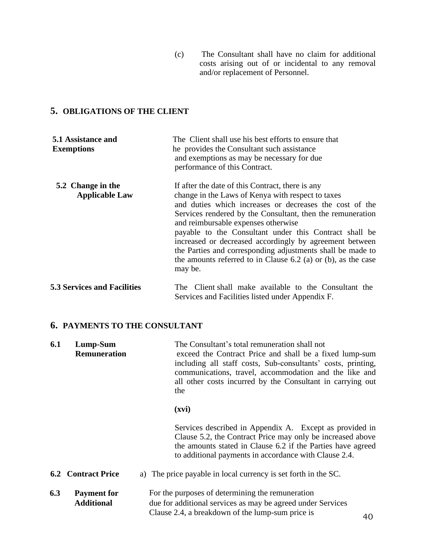(c) The Consultant shall have no claim for additional costs arising out of or incidental to any removal and/or replacement of Personnel.

### **5. OBLIGATIONS OF THE CLIENT**

| 5.1 Assistance and<br><b>Exemptions</b>    | The Client shall use his best efforts to ensure that<br>the provides the Consultant such assistance<br>and exemptions as may be necessary for due<br>performance of this Contract.                                                                                                                                                                                                                                                                                                                                                     |  |  |
|--------------------------------------------|----------------------------------------------------------------------------------------------------------------------------------------------------------------------------------------------------------------------------------------------------------------------------------------------------------------------------------------------------------------------------------------------------------------------------------------------------------------------------------------------------------------------------------------|--|--|
| 5.2 Change in the<br><b>Applicable Law</b> | If after the date of this Contract, there is any<br>change in the Laws of Kenya with respect to taxes<br>and duties which increases or decreases the cost of the<br>Services rendered by the Consultant, then the remuneration<br>and reimbursable expenses otherwise<br>payable to the Consultant under this Contract shall be<br>increased or decreased accordingly by agreement between<br>the Parties and corresponding adjustments shall be made to<br>the amounts referred to in Clause $6.2$ (a) or (b), as the case<br>may be. |  |  |
| <b>5.3 Services and Facilities</b>         | The Client shall make available to the Consultant the<br>Services and Facilities listed under Appendix F.                                                                                                                                                                                                                                                                                                                                                                                                                              |  |  |

### **6. PAYMENTS TO THE CONSULTANT**

| 6.1<br>Lump-Sum<br><b>Remuneration</b> |                                         | The Consultant's total remuneration shall not<br>exceed the Contract Price and shall be a fixed lump-sum<br>including all staff costs, Sub-consultants' costs, printing,<br>communications, travel, accommodation and the like and<br>all other costs incurred by the Consultant in carrying out<br>the |
|----------------------------------------|-----------------------------------------|---------------------------------------------------------------------------------------------------------------------------------------------------------------------------------------------------------------------------------------------------------------------------------------------------------|
|                                        |                                         | (xvi)                                                                                                                                                                                                                                                                                                   |
|                                        |                                         | Services described in Appendix A. Except as provided in<br>Clause 5.2, the Contract Price may only be increased above<br>the amounts stated in Clause 6.2 if the Parties have agreed<br>to additional payments in accordance with Clause 2.4.                                                           |
|                                        | <b>6.2 Contract Price</b>               | a) The price payable in local currency is set forth in the SC.                                                                                                                                                                                                                                          |
| 6.3                                    | <b>Payment for</b><br><b>Additional</b> | For the purposes of determining the remuneration<br>due for additional services as may be agreed under Services                                                                                                                                                                                         |

Clause 2.4, a breakdown of the lump-sum price is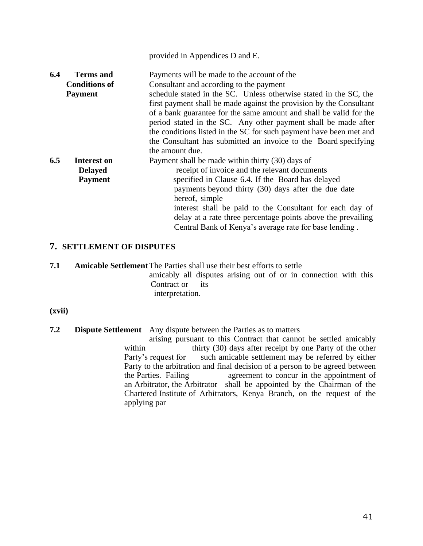|     |                                                            | provided in Appendices D and E.                                                                                                                                                                                                                                                                                                                                            |
|-----|------------------------------------------------------------|----------------------------------------------------------------------------------------------------------------------------------------------------------------------------------------------------------------------------------------------------------------------------------------------------------------------------------------------------------------------------|
| 6.4 | <b>Terms and</b><br><b>Conditions of</b><br><b>Payment</b> | Payments will be made to the account of the<br>Consultant and according to the payment<br>schedule stated in the SC. Unless otherwise stated in the SC, the<br>first payment shall be made against the provision by the Consultant<br>of a bank guarantee for the same amount and shall be valid for the<br>period stated in the SC. Any other payment shall be made after |
|     |                                                            | the conditions listed in the SC for such payment have been met and<br>the Consultant has submitted an invoice to the Board specifying<br>the amount due.                                                                                                                                                                                                                   |
| 6.5 | Interest on<br><b>Delayed</b><br><b>Payment</b>            | Payment shall be made within thirty (30) days of<br>receipt of invoice and the relevant documents<br>specified in Clause 6.4. If the Board has delayed<br>payments beyond thirty (30) days after the due date<br>hereof, simple<br>interest shall be paid to the Consultant for each day of<br>delay at a rate three percentage points above the prevailing                |
|     |                                                            | Central Bank of Kenya's average rate for base lending.                                                                                                                                                                                                                                                                                                                     |

#### **7. SETTLEMENT OF DISPUTES**

**7.1 Amicable Settlement**The Parties shall use their best efforts to settle

amicably all disputes arising out of or in connection with this Contract or its interpretation.

**(xvii)**

**7.2 Dispute Settlement** Any dispute between the Parties as to matters

arising pursuant to this Contract that cannot be settled amicably within thirty (30) days after receipt by one Party of the other Party's request for such amicable settlement may be referred by either Party to the arbitration and final decision of a person to be agreed between the Parties. Failing agreement to concur in the appointment of an Arbitrator, the Arbitrator shall be appointed by the Chairman of the Chartered Institute of Arbitrators, Kenya Branch, on the request of the applying par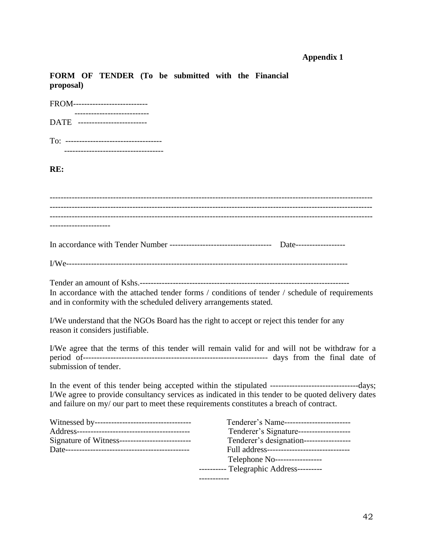### **Appendix 1**

**FORM OF TENDER (To be submitted with the Financial proposal)**

| FROM---------------------------                                                                    |                                                                                                                                                                                                               |
|----------------------------------------------------------------------------------------------------|---------------------------------------------------------------------------------------------------------------------------------------------------------------------------------------------------------------|
| -------------------------<br>DATE --------------------------                                       |                                                                                                                                                                                                               |
|                                                                                                    |                                                                                                                                                                                                               |
| RE:                                                                                                |                                                                                                                                                                                                               |
|                                                                                                    |                                                                                                                                                                                                               |
|                                                                                                    |                                                                                                                                                                                                               |
|                                                                                                    |                                                                                                                                                                                                               |
|                                                                                                    |                                                                                                                                                                                                               |
| and in conformity with the scheduled delivery arrangements stated.                                 | In accordance with the attached tender forms / conditions of tender / schedule of requirements                                                                                                                |
| reason it considers justifiable.                                                                   | I/We understand that the NGOs Board has the right to accept or reject this tender for any                                                                                                                     |
| submission of tender.                                                                              | I/We agree that the terms of this tender will remain valid for and will not be withdraw for a                                                                                                                 |
| and failure on my/ our part to meet these requirements constitutes a breach of contract.           | I/We agree to provide consultancy services as indicated in this tender to be quoted delivery dates                                                                                                            |
| Witnessed by-----------------------------------<br>Signature of Witness--------------------------- | Tenderer's Name------------------------<br>Tenderer's Signature-------------------<br>Tenderer's designation------------------<br>Full address------------------------------<br>Telephone No----------------- |
|                                                                                                    | ---------- Telegraphic Address---------                                                                                                                                                                       |

-----------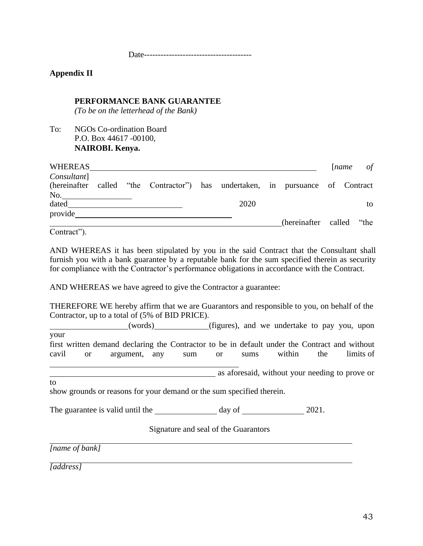Date---------------------------------------

#### **Appendix II**

### **PERFORMANCE BANK GUARANTEE**

*(To be on the letterhead of the Bank)*

To: NGOs Co-ordination Board P.O. Box 44617 -00100, **NAIROBI. Kenya.**

| WHEREAS            |  |                                                                                |      |                          | $l$ <i>name</i> | of |
|--------------------|--|--------------------------------------------------------------------------------|------|--------------------------|-----------------|----|
| Consultant]<br>No. |  | (hereinafter called "the Contractor") has undertaken, in pursuance of Contract |      |                          |                 |    |
| dated              |  |                                                                                | 2020 |                          |                 | to |
| provide            |  |                                                                                |      | (hereinafter called "the |                 |    |
|                    |  |                                                                                |      |                          |                 |    |

Contract").

AND WHEREAS it has been stipulated by you in the said Contract that the Consultant shall furnish you with a bank guarantee by a reputable bank for the sum specified therein as security for compliance with the Contractor's performance obligations in accordance with the Contract.

AND WHEREAS we have agreed to give the Contractor a guarantee:

THEREFORE WE hereby affirm that we are Guarantors and responsible to you, on behalf of the Contractor, up to a total of (5% of BID PRICE).

 (words) (figures), and we undertake to pay you, upon your

first written demand declaring the Contractor to be in default under the Contract and without cavil or argument, any sum or sums within the limits of

as aforesaid, without your needing to prove or

to

show grounds or reasons for your demand or the sum specified therein.

The guarantee is valid until the day of 2021.

Signature and seal of the Guarantors

*[name of bank]* 

*[address]*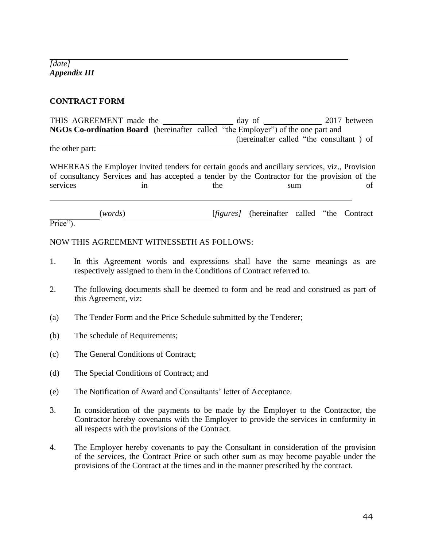*[date] Appendix III*

#### **CONTRACT FORM**

THIS AGREEMENT made the day of 2017 between **NGOs Co-ordination Board** (hereinafter called "the Employer") of the one part and (hereinafter called "the consultant ) of

the other part:

WHEREAS the Employer invited tenders for certain goods and ancillary services, viz., Provision of consultancy Services and has accepted a tender by the Contractor for the provision of the services in the sum of

Price"). (*words*) [*figures]* (hereinafter called "the Contract

NOW THIS AGREEMENT WITNESSETH AS FOLLOWS:

- 1. In this Agreement words and expressions shall have the same meanings as are respectively assigned to them in the Conditions of Contract referred to.
- 2. The following documents shall be deemed to form and be read and construed as part of this Agreement, viz:
- (a) The Tender Form and the Price Schedule submitted by the Tenderer;
- (b) The schedule of Requirements;
- (c) The General Conditions of Contract;
- (d) The Special Conditions of Contract; and
- (e) The Notification of Award and Consultants' letter of Acceptance.
- 3. In consideration of the payments to be made by the Employer to the Contractor, the Contractor hereby covenants with the Employer to provide the services in conformity in all respects with the provisions of the Contract.
- 4. The Employer hereby covenants to pay the Consultant in consideration of the provision of the services, the Contract Price or such other sum as may become payable under the provisions of the Contract at the times and in the manner prescribed by the contract.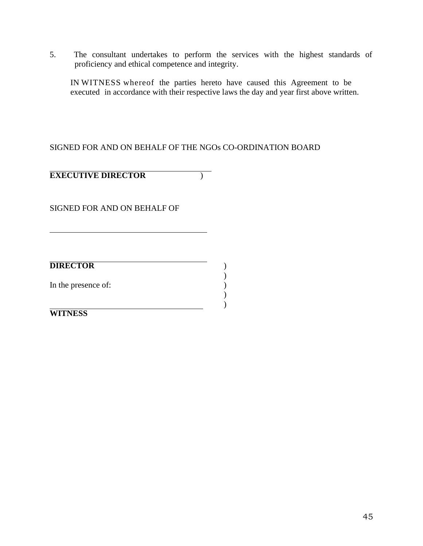5. The consultant undertakes to perform the services with the highest standards of proficiency and ethical competence and integrity.

IN WITNESS whereof the parties hereto have caused this Agreement to be executed in accordance with their respective laws the day and year first above written.

 $\begin{smallmatrix} \frac{1}{2} \\ 1 \end{smallmatrix}$ 

)  $\lambda$ 

### SIGNED FOR AND ON BEHALF OF THE NGOs CO-ORDINATION BOARD

**EXECUTIVE DIRECTOR** )

SIGNED FOR AND ON BEHALF OF

**DIRECTOR** )

In the presence of:

**WITNESS**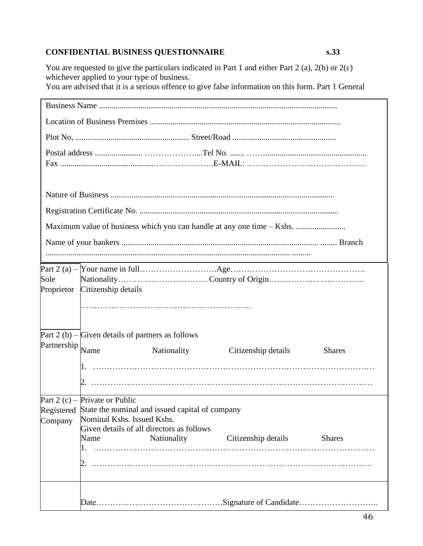### **CONFIDENTIAL BUSINESS QUESTIONNAIRE s.33**

You are requested to give the particulars indicated in Part 1 and either Part 2 (a), 2(b) or 2(c) whichever applied to your type of business. You are advised that it is a serious offence to give false information on this form. Part 1 General

|                                                |                                                                      |                                                                                                                               | Maximum value of business which you can handle at any one time – Kshs.                                                                                                                                                                               |               |
|------------------------------------------------|----------------------------------------------------------------------|-------------------------------------------------------------------------------------------------------------------------------|------------------------------------------------------------------------------------------------------------------------------------------------------------------------------------------------------------------------------------------------------|---------------|
|                                                |                                                                      |                                                                                                                               |                                                                                                                                                                                                                                                      |               |
| Sole<br>Proprietor                             | Citizenship details                                                  |                                                                                                                               |                                                                                                                                                                                                                                                      |               |
|                                                | Part $2(b)$ – Given details of partners as follows                   |                                                                                                                               |                                                                                                                                                                                                                                                      |               |
| $\mathbf{P}$ artnership $\bigg _{\text{Name}}$ |                                                                      | Nationality                                                                                                                   | Citizenship details                                                                                                                                                                                                                                  | <b>Shares</b> |
| Company                                        | Part 2 (c) – Private or Public<br>Nominal Kshs. Issued Kshs.<br>Name | Registered State the nominal and issued capital of company<br>Given details of all directors as follows<br><b>Nationality</b> | the control of the control of the control of the control of the control of the control of the control of the control of the control of the control of the control of the control of the control of the control of the control<br>Citizenship details | <b>Shares</b> |
|                                                |                                                                      |                                                                                                                               |                                                                                                                                                                                                                                                      |               |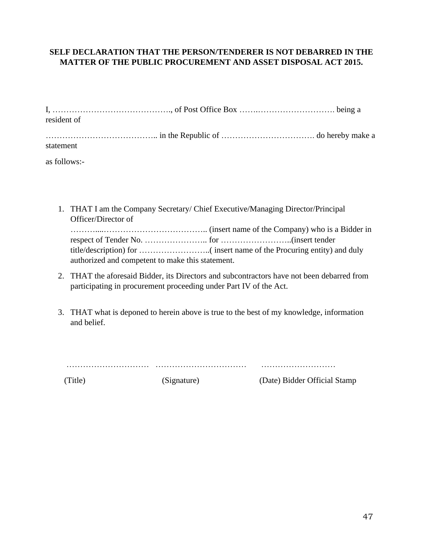### **SELF DECLARATION THAT THE PERSON/TENDERER IS NOT DEBARRED IN THE MATTER OF THE PUBLIC PROCUREMENT AND ASSET DISPOSAL ACT 2015.**

| resident of |  |
|-------------|--|
|             |  |
| statement   |  |
|             |  |

as follows:-

1. THAT I am the Company Secretary/ Chief Executive/Managing Director/Principal Officer/Director of

| authorized and competent to make this statement. |  |
|--------------------------------------------------|--|

- 2. THAT the aforesaid Bidder, its Directors and subcontractors have not been debarred from participating in procurement proceeding under Part IV of the Act.
- 3. THAT what is deponed to herein above is true to the best of my knowledge, information and belief.

………………………… …………………………… ………………………

(Title) (Signature) (Date) Bidder Official Stamp